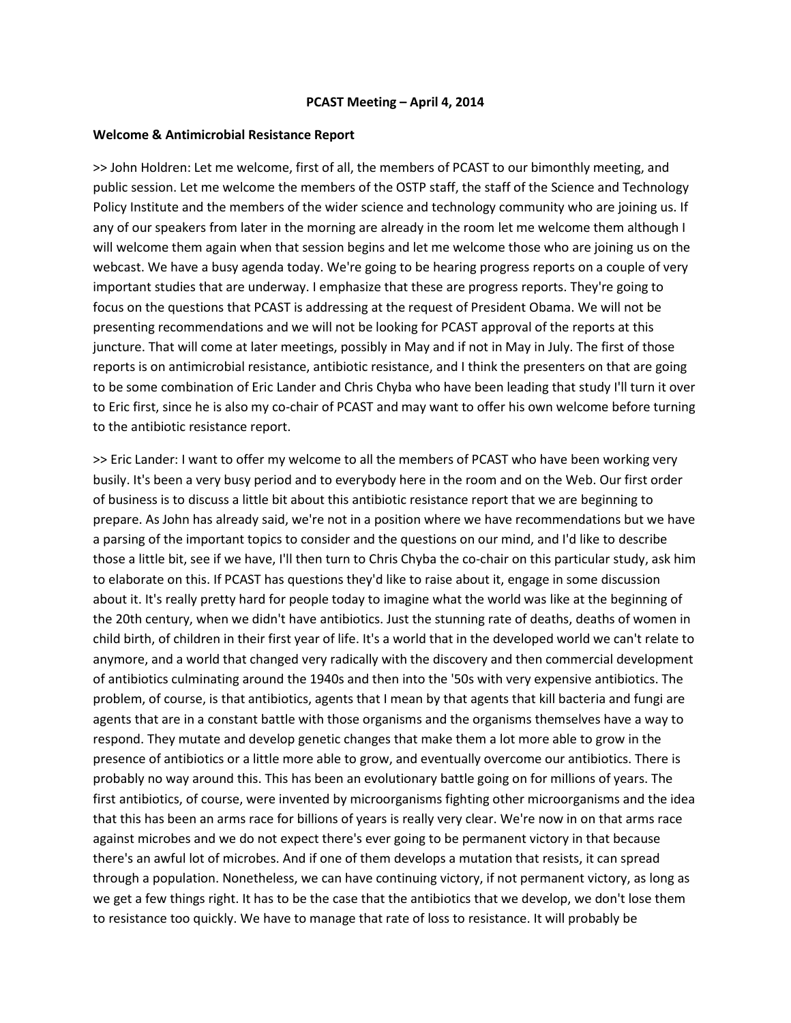### **PCAST Meeting – April 4, 2014**

### **Welcome & Antimicrobial Resistance Report**

>> John Holdren: Let me welcome, first of all, the members of PCAST to our bimonthly meeting, and public session. Let me welcome the members of the OSTP staff, the staff of the Science and Technology Policy Institute and the members of the wider science and technology community who are joining us. If any of our speakers from later in the morning are already in the room let me welcome them although I will welcome them again when that session begins and let me welcome those who are joining us on the webcast. We have a busy agenda today. We're going to be hearing progress reports on a couple of very important studies that are underway. I emphasize that these are progress reports. They're going to focus on the questions that PCAST is addressing at the request of President Obama. We will not be presenting recommendations and we will not be looking for PCAST approval of the reports at this juncture. That will come at later meetings, possibly in May and if not in May in July. The first of those reports is on antimicrobial resistance, antibiotic resistance, and I think the presenters on that are going to be some combination of Eric Lander and Chris Chyba who have been leading that study I'll turn it over to Eric first, since he is also my co-chair of PCAST and may want to offer his own welcome before turning to the antibiotic resistance report.

>> Eric Lander: I want to offer my welcome to all the members of PCAST who have been working very busily. It's been a very busy period and to everybody here in the room and on the Web. Our first order of business is to discuss a little bit about this antibiotic resistance report that we are beginning to prepare. As John has already said, we're not in a position where we have recommendations but we have a parsing of the important topics to consider and the questions on our mind, and I'd like to describe those a little bit, see if we have, I'll then turn to Chris Chyba the co-chair on this particular study, ask him to elaborate on this. If PCAST has questions they'd like to raise about it, engage in some discussion about it. It's really pretty hard for people today to imagine what the world was like at the beginning of the 20th century, when we didn't have antibiotics. Just the stunning rate of deaths, deaths of women in child birth, of children in their first year of life. It's a world that in the developed world we can't relate to anymore, and a world that changed very radically with the discovery and then commercial development of antibiotics culminating around the 1940s and then into the '50s with very expensive antibiotics. The problem, of course, is that antibiotics, agents that I mean by that agents that kill bacteria and fungi are agents that are in a constant battle with those organisms and the organisms themselves have a way to respond. They mutate and develop genetic changes that make them a lot more able to grow in the presence of antibiotics or a little more able to grow, and eventually overcome our antibiotics. There is probably no way around this. This has been an evolutionary battle going on for millions of years. The first antibiotics, of course, were invented by microorganisms fighting other microorganisms and the idea that this has been an arms race for billions of years is really very clear. We're now in on that arms race against microbes and we do not expect there's ever going to be permanent victory in that because there's an awful lot of microbes. And if one of them develops a mutation that resists, it can spread through a population. Nonetheless, we can have continuing victory, if not permanent victory, as long as we get a few things right. It has to be the case that the antibiotics that we develop, we don't lose them to resistance too quickly. We have to manage that rate of loss to resistance. It will probably be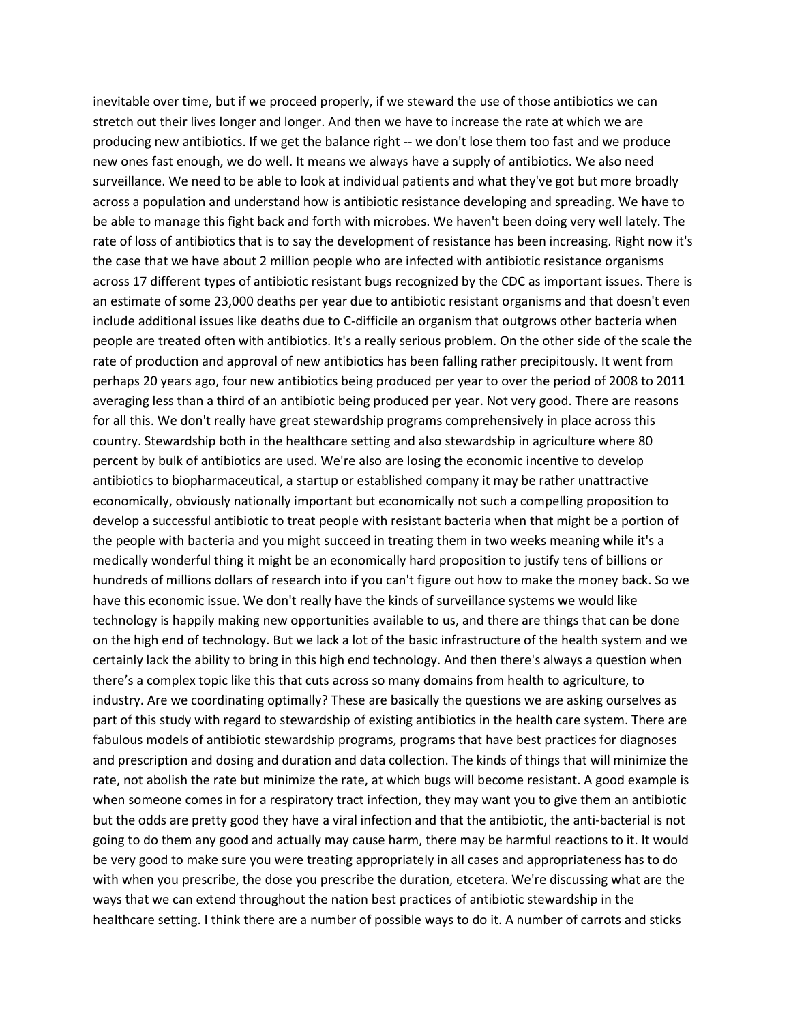inevitable over time, but if we proceed properly, if we steward the use of those antibiotics we can stretch out their lives longer and longer. And then we have to increase the rate at which we are producing new antibiotics. If we get the balance right -- we don't lose them too fast and we produce new ones fast enough, we do well. It means we always have a supply of antibiotics. We also need surveillance. We need to be able to look at individual patients and what they've got but more broadly across a population and understand how is antibiotic resistance developing and spreading. We have to be able to manage this fight back and forth with microbes. We haven't been doing very well lately. The rate of loss of antibiotics that is to say the development of resistance has been increasing. Right now it's the case that we have about 2 million people who are infected with antibiotic resistance organisms across 17 different types of antibiotic resistant bugs recognized by the CDC as important issues. There is an estimate of some 23,000 deaths per year due to antibiotic resistant organisms and that doesn't even include additional issues like deaths due to C-difficile an organism that outgrows other bacteria when people are treated often with antibiotics. It's a really serious problem. On the other side of the scale the rate of production and approval of new antibiotics has been falling rather precipitously. It went from perhaps 20 years ago, four new antibiotics being produced per year to over the period of 2008 to 2011 averaging less than a third of an antibiotic being produced per year. Not very good. There are reasons for all this. We don't really have great stewardship programs comprehensively in place across this country. Stewardship both in the healthcare setting and also stewardship in agriculture where 80 percent by bulk of antibiotics are used. We're also are losing the economic incentive to develop antibiotics to biopharmaceutical, a startup or established company it may be rather unattractive economically, obviously nationally important but economically not such a compelling proposition to develop a successful antibiotic to treat people with resistant bacteria when that might be a portion of the people with bacteria and you might succeed in treating them in two weeks meaning while it's a medically wonderful thing it might be an economically hard proposition to justify tens of billions or hundreds of millions dollars of research into if you can't figure out how to make the money back. So we have this economic issue. We don't really have the kinds of surveillance systems we would like technology is happily making new opportunities available to us, and there are things that can be done on the high end of technology. But we lack a lot of the basic infrastructure of the health system and we certainly lack the ability to bring in this high end technology. And then there's always a question when there's a complex topic like this that cuts across so many domains from health to agriculture, to industry. Are we coordinating optimally? These are basically the questions we are asking ourselves as part of this study with regard to stewardship of existing antibiotics in the health care system. There are fabulous models of antibiotic stewardship programs, programs that have best practices for diagnoses and prescription and dosing and duration and data collection. The kinds of things that will minimize the rate, not abolish the rate but minimize the rate, at which bugs will become resistant. A good example is when someone comes in for a respiratory tract infection, they may want you to give them an antibiotic but the odds are pretty good they have a viral infection and that the antibiotic, the anti-bacterial is not going to do them any good and actually may cause harm, there may be harmful reactions to it. It would be very good to make sure you were treating appropriately in all cases and appropriateness has to do with when you prescribe, the dose you prescribe the duration, etcetera. We're discussing what are the ways that we can extend throughout the nation best practices of antibiotic stewardship in the healthcare setting. I think there are a number of possible ways to do it. A number of carrots and sticks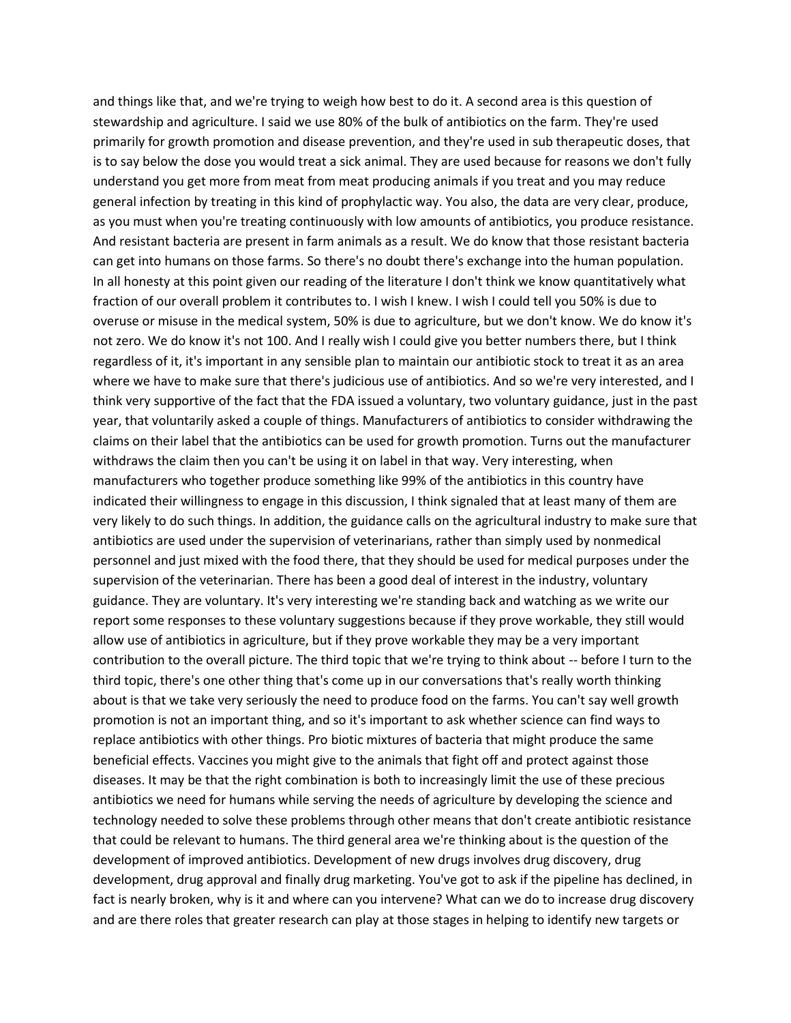and things like that, and we're trying to weigh how best to do it. A second area is this question of stewardship and agriculture. I said we use 80% of the bulk of antibiotics on the farm. They're used primarily for growth promotion and disease prevention, and they're used in sub therapeutic doses, that is to say below the dose you would treat a sick animal. They are used because for reasons we don't fully understand you get more from meat from meat producing animals if you treat and you may reduce general infection by treating in this kind of prophylactic way. You also, the data are very clear, produce, as you must when you're treating continuously with low amounts of antibiotics, you produce resistance. And resistant bacteria are present in farm animals as a result. We do know that those resistant bacteria can get into humans on those farms. So there's no doubt there's exchange into the human population. In all honesty at this point given our reading of the literature I don't think we know quantitatively what fraction of our overall problem it contributes to. I wish I knew. I wish I could tell you 50% is due to overuse or misuse in the medical system, 50% is due to agriculture, but we don't know. We do know it's not zero. We do know it's not 100. And I really wish I could give you better numbers there, but I think regardless of it, it's important in any sensible plan to maintain our antibiotic stock to treat it as an area where we have to make sure that there's judicious use of antibiotics. And so we're very interested, and I think very supportive of the fact that the FDA issued a voluntary, two voluntary guidance, just in the past year, that voluntarily asked a couple of things. Manufacturers of antibiotics to consider withdrawing the claims on their label that the antibiotics can be used for growth promotion. Turns out the manufacturer withdraws the claim then you can't be using it on label in that way. Very interesting, when manufacturers who together produce something like 99% of the antibiotics in this country have indicated their willingness to engage in this discussion, I think signaled that at least many of them are very likely to do such things. In addition, the guidance calls on the agricultural industry to make sure that antibiotics are used under the supervision of veterinarians, rather than simply used by nonmedical personnel and just mixed with the food there, that they should be used for medical purposes under the supervision of the veterinarian. There has been a good deal of interest in the industry, voluntary guidance. They are voluntary. It's very interesting we're standing back and watching as we write our report some responses to these voluntary suggestions because if they prove workable, they still would allow use of antibiotics in agriculture, but if they prove workable they may be a very important contribution to the overall picture. The third topic that we're trying to think about -- before I turn to the third topic, there's one other thing that's come up in our conversations that's really worth thinking about is that we take very seriously the need to produce food on the farms. You can't say well growth promotion is not an important thing, and so it's important to ask whether science can find ways to replace antibiotics with other things. Pro biotic mixtures of bacteria that might produce the same beneficial effects. Vaccines you might give to the animals that fight off and protect against those diseases. It may be that the right combination is both to increasingly limit the use of these precious antibiotics we need for humans while serving the needs of agriculture by developing the science and technology needed to solve these problems through other means that don't create antibiotic resistance that could be relevant to humans. The third general area we're thinking about is the question of the development of improved antibiotics. Development of new drugs involves drug discovery, drug development, drug approval and finally drug marketing. You've got to ask if the pipeline has declined, in fact is nearly broken, why is it and where can you intervene? What can we do to increase drug discovery and are there roles that greater research can play at those stages in helping to identify new targets or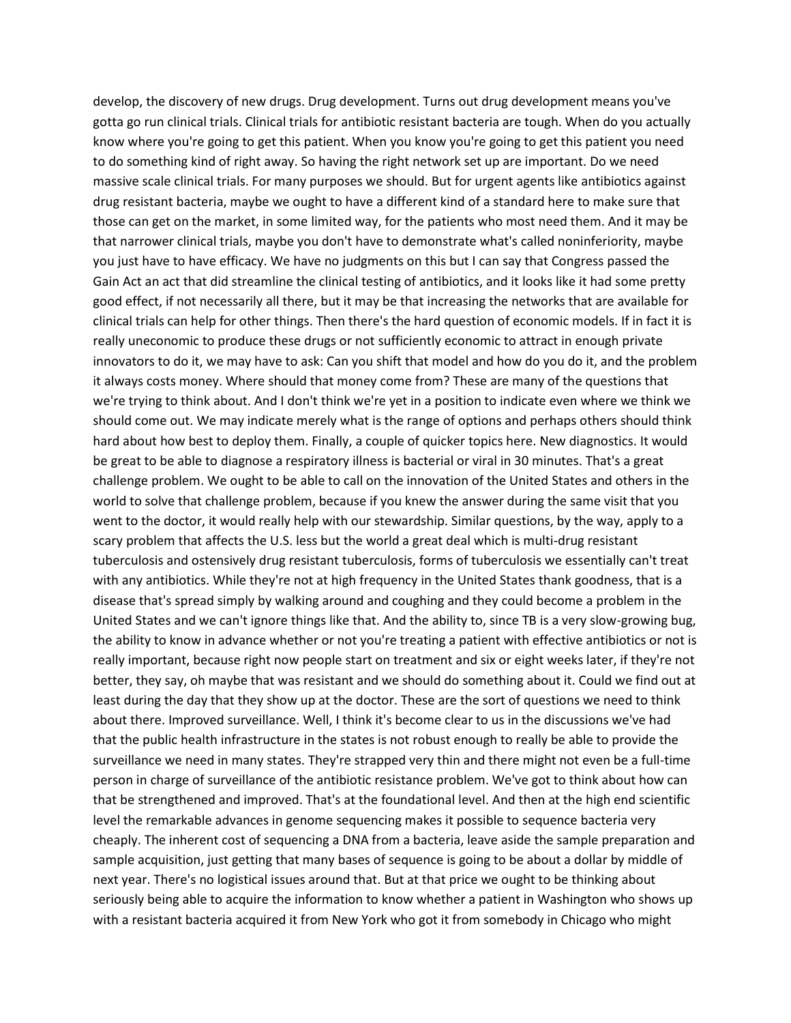develop, the discovery of new drugs. Drug development. Turns out drug development means you've gotta go run clinical trials. Clinical trials for antibiotic resistant bacteria are tough. When do you actually know where you're going to get this patient. When you know you're going to get this patient you need to do something kind of right away. So having the right network set up are important. Do we need massive scale clinical trials. For many purposes we should. But for urgent agents like antibiotics against drug resistant bacteria, maybe we ought to have a different kind of a standard here to make sure that those can get on the market, in some limited way, for the patients who most need them. And it may be that narrower clinical trials, maybe you don't have to demonstrate what's called noninferiority, maybe you just have to have efficacy. We have no judgments on this but I can say that Congress passed the Gain Act an act that did streamline the clinical testing of antibiotics, and it looks like it had some pretty good effect, if not necessarily all there, but it may be that increasing the networks that are available for clinical trials can help for other things. Then there's the hard question of economic models. If in fact it is really uneconomic to produce these drugs or not sufficiently economic to attract in enough private innovators to do it, we may have to ask: Can you shift that model and how do you do it, and the problem it always costs money. Where should that money come from? These are many of the questions that we're trying to think about. And I don't think we're yet in a position to indicate even where we think we should come out. We may indicate merely what is the range of options and perhaps others should think hard about how best to deploy them. Finally, a couple of quicker topics here. New diagnostics. It would be great to be able to diagnose a respiratory illness is bacterial or viral in 30 minutes. That's a great challenge problem. We ought to be able to call on the innovation of the United States and others in the world to solve that challenge problem, because if you knew the answer during the same visit that you went to the doctor, it would really help with our stewardship. Similar questions, by the way, apply to a scary problem that affects the U.S. less but the world a great deal which is multi-drug resistant tuberculosis and ostensively drug resistant tuberculosis, forms of tuberculosis we essentially can't treat with any antibiotics. While they're not at high frequency in the United States thank goodness, that is a disease that's spread simply by walking around and coughing and they could become a problem in the United States and we can't ignore things like that. And the ability to, since TB is a very slow-growing bug, the ability to know in advance whether or not you're treating a patient with effective antibiotics or not is really important, because right now people start on treatment and six or eight weeks later, if they're not better, they say, oh maybe that was resistant and we should do something about it. Could we find out at least during the day that they show up at the doctor. These are the sort of questions we need to think about there. Improved surveillance. Well, I think it's become clear to us in the discussions we've had that the public health infrastructure in the states is not robust enough to really be able to provide the surveillance we need in many states. They're strapped very thin and there might not even be a full-time person in charge of surveillance of the antibiotic resistance problem. We've got to think about how can that be strengthened and improved. That's at the foundational level. And then at the high end scientific level the remarkable advances in genome sequencing makes it possible to sequence bacteria very cheaply. The inherent cost of sequencing a DNA from a bacteria, leave aside the sample preparation and sample acquisition, just getting that many bases of sequence is going to be about a dollar by middle of next year. There's no logistical issues around that. But at that price we ought to be thinking about seriously being able to acquire the information to know whether a patient in Washington who shows up with a resistant bacteria acquired it from New York who got it from somebody in Chicago who might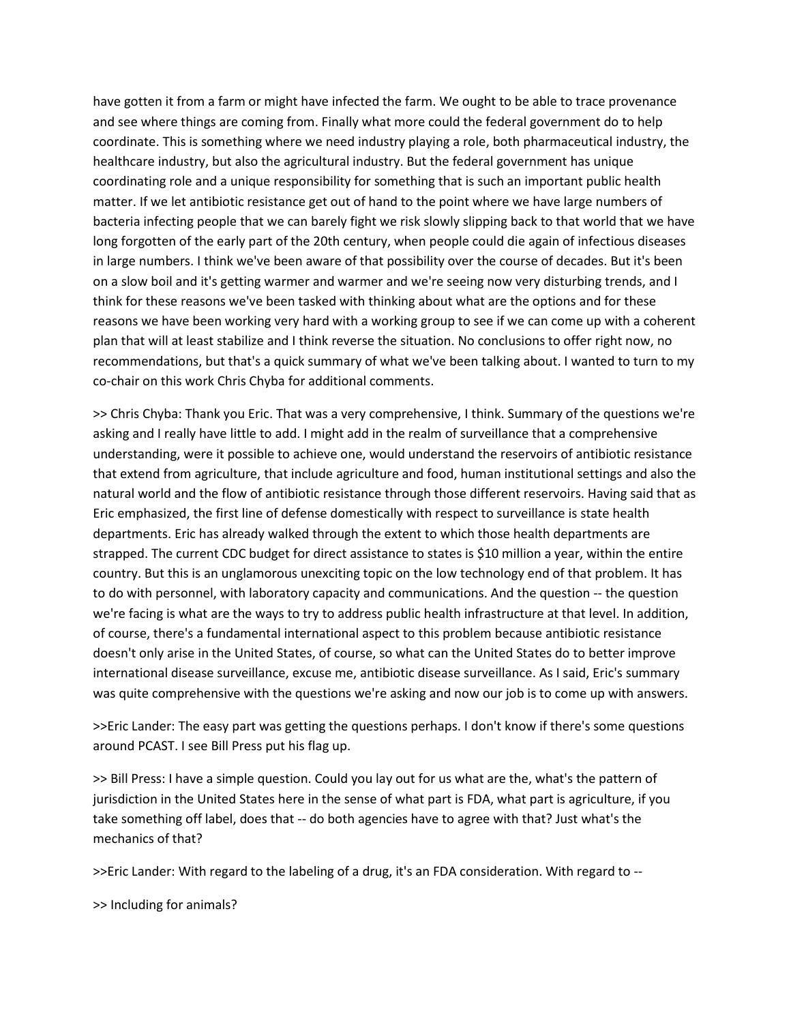have gotten it from a farm or might have infected the farm. We ought to be able to trace provenance and see where things are coming from. Finally what more could the federal government do to help coordinate. This is something where we need industry playing a role, both pharmaceutical industry, the healthcare industry, but also the agricultural industry. But the federal government has unique coordinating role and a unique responsibility for something that is such an important public health matter. If we let antibiotic resistance get out of hand to the point where we have large numbers of bacteria infecting people that we can barely fight we risk slowly slipping back to that world that we have long forgotten of the early part of the 20th century, when people could die again of infectious diseases in large numbers. I think we've been aware of that possibility over the course of decades. But it's been on a slow boil and it's getting warmer and warmer and we're seeing now very disturbing trends, and I think for these reasons we've been tasked with thinking about what are the options and for these reasons we have been working very hard with a working group to see if we can come up with a coherent plan that will at least stabilize and I think reverse the situation. No conclusions to offer right now, no recommendations, but that's a quick summary of what we've been talking about. I wanted to turn to my co-chair on this work Chris Chyba for additional comments.

>> Chris Chyba: Thank you Eric. That was a very comprehensive, I think. Summary of the questions we're asking and I really have little to add. I might add in the realm of surveillance that a comprehensive understanding, were it possible to achieve one, would understand the reservoirs of antibiotic resistance that extend from agriculture, that include agriculture and food, human institutional settings and also the natural world and the flow of antibiotic resistance through those different reservoirs. Having said that as Eric emphasized, the first line of defense domestically with respect to surveillance is state health departments. Eric has already walked through the extent to which those health departments are strapped. The current CDC budget for direct assistance to states is \$10 million a year, within the entire country. But this is an unglamorous unexciting topic on the low technology end of that problem. It has to do with personnel, with laboratory capacity and communications. And the question -- the question we're facing is what are the ways to try to address public health infrastructure at that level. In addition, of course, there's a fundamental international aspect to this problem because antibiotic resistance doesn't only arise in the United States, of course, so what can the United States do to better improve international disease surveillance, excuse me, antibiotic disease surveillance. As I said, Eric's summary was quite comprehensive with the questions we're asking and now our job is to come up with answers.

>>Eric Lander: The easy part was getting the questions perhaps. I don't know if there's some questions around PCAST. I see Bill Press put his flag up.

>> Bill Press: I have a simple question. Could you lay out for us what are the, what's the pattern of jurisdiction in the United States here in the sense of what part is FDA, what part is agriculture, if you take something off label, does that -- do both agencies have to agree with that? Just what's the mechanics of that?

>>Eric Lander: With regard to the labeling of a drug, it's an FDA consideration. With regard to --

>> Including for animals?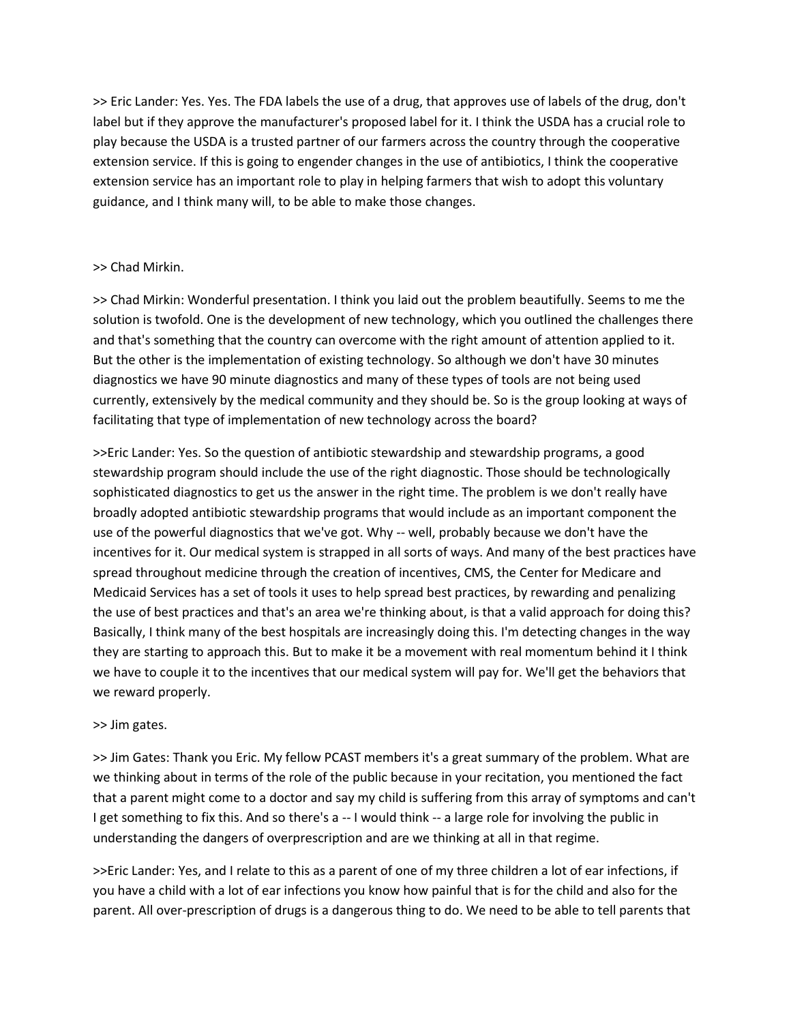>> Eric Lander: Yes. Yes. The FDA labels the use of a drug, that approves use of labels of the drug, don't label but if they approve the manufacturer's proposed label for it. I think the USDA has a crucial role to play because the USDA is a trusted partner of our farmers across the country through the cooperative extension service. If this is going to engender changes in the use of antibiotics, I think the cooperative extension service has an important role to play in helping farmers that wish to adopt this voluntary guidance, and I think many will, to be able to make those changes.

# >> Chad Mirkin.

>> Chad Mirkin: Wonderful presentation. I think you laid out the problem beautifully. Seems to me the solution is twofold. One is the development of new technology, which you outlined the challenges there and that's something that the country can overcome with the right amount of attention applied to it. But the other is the implementation of existing technology. So although we don't have 30 minutes diagnostics we have 90 minute diagnostics and many of these types of tools are not being used currently, extensively by the medical community and they should be. So is the group looking at ways of facilitating that type of implementation of new technology across the board?

>>Eric Lander: Yes. So the question of antibiotic stewardship and stewardship programs, a good stewardship program should include the use of the right diagnostic. Those should be technologically sophisticated diagnostics to get us the answer in the right time. The problem is we don't really have broadly adopted antibiotic stewardship programs that would include as an important component the use of the powerful diagnostics that we've got. Why -- well, probably because we don't have the incentives for it. Our medical system is strapped in all sorts of ways. And many of the best practices have spread throughout medicine through the creation of incentives, CMS, the Center for Medicare and Medicaid Services has a set of tools it uses to help spread best practices, by rewarding and penalizing the use of best practices and that's an area we're thinking about, is that a valid approach for doing this? Basically, I think many of the best hospitals are increasingly doing this. I'm detecting changes in the way they are starting to approach this. But to make it be a movement with real momentum behind it I think we have to couple it to the incentives that our medical system will pay for. We'll get the behaviors that we reward properly.

## >> Jim gates.

>> Jim Gates: Thank you Eric. My fellow PCAST members it's a great summary of the problem. What are we thinking about in terms of the role of the public because in your recitation, you mentioned the fact that a parent might come to a doctor and say my child is suffering from this array of symptoms and can't I get something to fix this. And so there's a -- I would think -- a large role for involving the public in understanding the dangers of overprescription and are we thinking at all in that regime.

>>Eric Lander: Yes, and I relate to this as a parent of one of my three children a lot of ear infections, if you have a child with a lot of ear infections you know how painful that is for the child and also for the parent. All over-prescription of drugs is a dangerous thing to do. We need to be able to tell parents that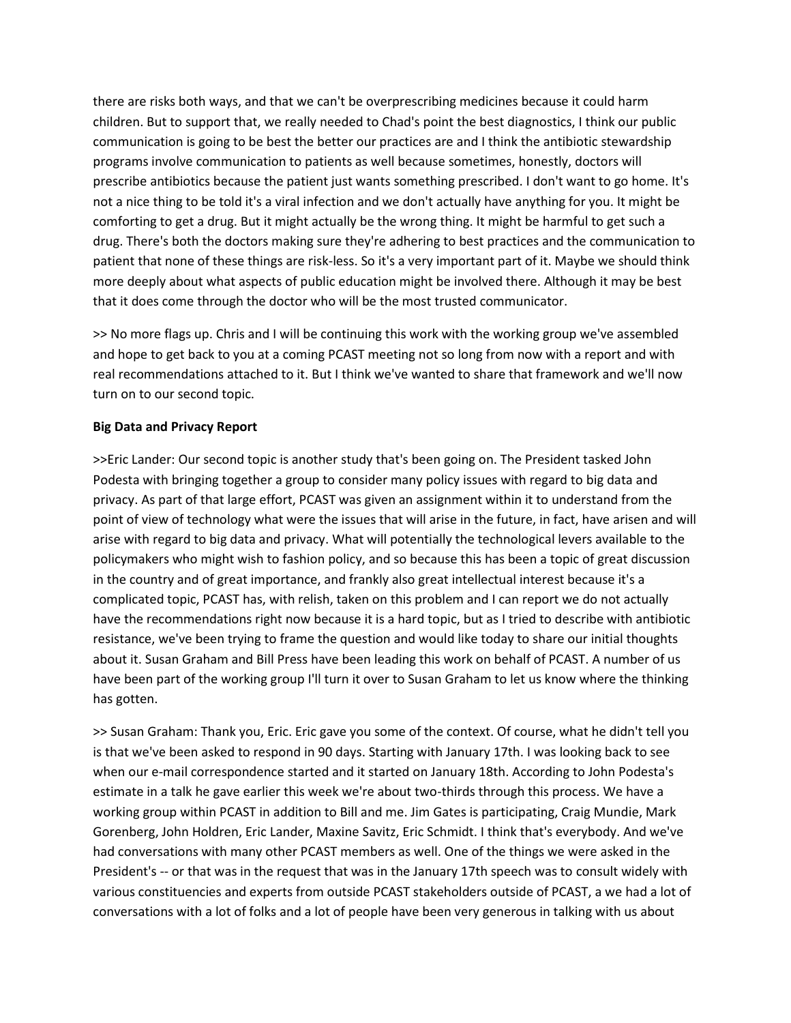there are risks both ways, and that we can't be overprescribing medicines because it could harm children. But to support that, we really needed to Chad's point the best diagnostics, I think our public communication is going to be best the better our practices are and I think the antibiotic stewardship programs involve communication to patients as well because sometimes, honestly, doctors will prescribe antibiotics because the patient just wants something prescribed. I don't want to go home. It's not a nice thing to be told it's a viral infection and we don't actually have anything for you. It might be comforting to get a drug. But it might actually be the wrong thing. It might be harmful to get such a drug. There's both the doctors making sure they're adhering to best practices and the communication to patient that none of these things are risk-less. So it's a very important part of it. Maybe we should think more deeply about what aspects of public education might be involved there. Although it may be best that it does come through the doctor who will be the most trusted communicator.

>> No more flags up. Chris and I will be continuing this work with the working group we've assembled and hope to get back to you at a coming PCAST meeting not so long from now with a report and with real recommendations attached to it. But I think we've wanted to share that framework and we'll now turn on to our second topic.

# **Big Data and Privacy Report**

>>Eric Lander: Our second topic is another study that's been going on. The President tasked John Podesta with bringing together a group to consider many policy issues with regard to big data and privacy. As part of that large effort, PCAST was given an assignment within it to understand from the point of view of technology what were the issues that will arise in the future, in fact, have arisen and will arise with regard to big data and privacy. What will potentially the technological levers available to the policymakers who might wish to fashion policy, and so because this has been a topic of great discussion in the country and of great importance, and frankly also great intellectual interest because it's a complicated topic, PCAST has, with relish, taken on this problem and I can report we do not actually have the recommendations right now because it is a hard topic, but as I tried to describe with antibiotic resistance, we've been trying to frame the question and would like today to share our initial thoughts about it. Susan Graham and Bill Press have been leading this work on behalf of PCAST. A number of us have been part of the working group I'll turn it over to Susan Graham to let us know where the thinking has gotten.

>> Susan Graham: Thank you, Eric. Eric gave you some of the context. Of course, what he didn't tell you is that we've been asked to respond in 90 days. Starting with January 17th. I was looking back to see when our e-mail correspondence started and it started on January 18th. According to John Podesta's estimate in a talk he gave earlier this week we're about two-thirds through this process. We have a working group within PCAST in addition to Bill and me. Jim Gates is participating, Craig Mundie, Mark Gorenberg, John Holdren, Eric Lander, Maxine Savitz, Eric Schmidt. I think that's everybody. And we've had conversations with many other PCAST members as well. One of the things we were asked in the President's -- or that was in the request that was in the January 17th speech was to consult widely with various constituencies and experts from outside PCAST stakeholders outside of PCAST, a we had a lot of conversations with a lot of folks and a lot of people have been very generous in talking with us about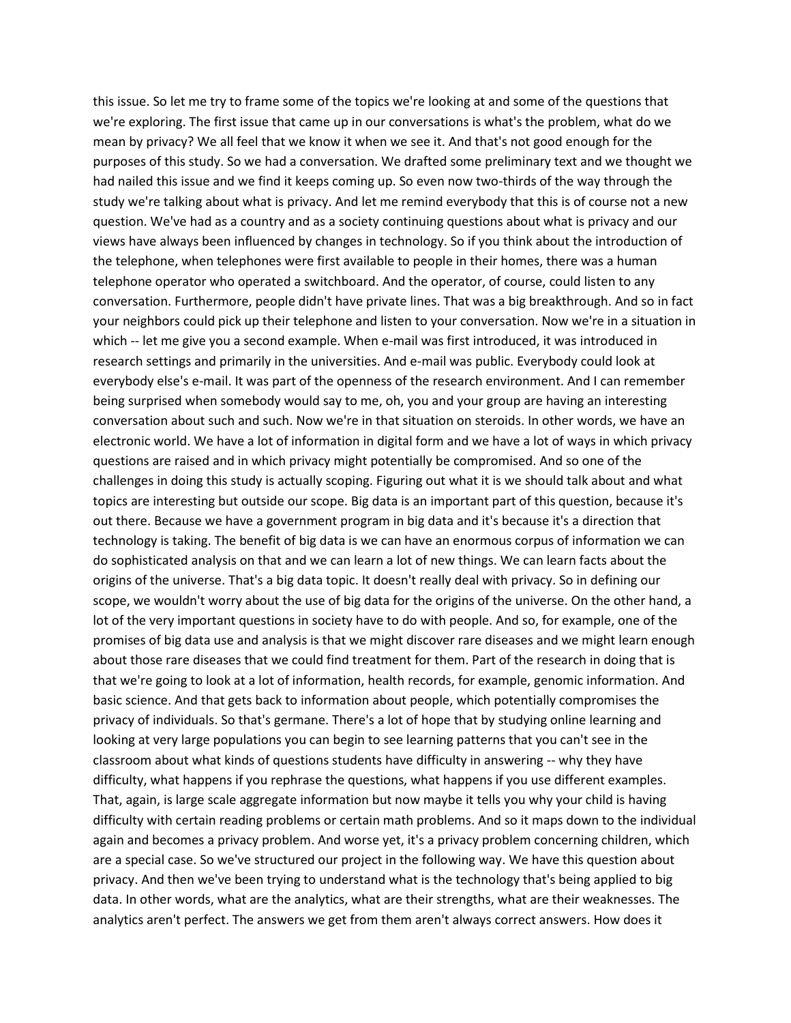this issue. So let me try to frame some of the topics we're looking at and some of the questions that we're exploring. The first issue that came up in our conversations is what's the problem, what do we mean by privacy? We all feel that we know it when we see it. And that's not good enough for the purposes of this study. So we had a conversation. We drafted some preliminary text and we thought we had nailed this issue and we find it keeps coming up. So even now two-thirds of the way through the study we're talking about what is privacy. And let me remind everybody that this is of course not a new question. We've had as a country and as a society continuing questions about what is privacy and our views have always been influenced by changes in technology. So if you think about the introduction of the telephone, when telephones were first available to people in their homes, there was a human telephone operator who operated a switchboard. And the operator, of course, could listen to any conversation. Furthermore, people didn't have private lines. That was a big breakthrough. And so in fact your neighbors could pick up their telephone and listen to your conversation. Now we're in a situation in which -- let me give you a second example. When e-mail was first introduced, it was introduced in research settings and primarily in the universities. And e-mail was public. Everybody could look at everybody else's e-mail. It was part of the openness of the research environment. And I can remember being surprised when somebody would say to me, oh, you and your group are having an interesting conversation about such and such. Now we're in that situation on steroids. In other words, we have an electronic world. We have a lot of information in digital form and we have a lot of ways in which privacy questions are raised and in which privacy might potentially be compromised. And so one of the challenges in doing this study is actually scoping. Figuring out what it is we should talk about and what topics are interesting but outside our scope. Big data is an important part of this question, because it's out there. Because we have a government program in big data and it's because it's a direction that technology is taking. The benefit of big data is we can have an enormous corpus of information we can do sophisticated analysis on that and we can learn a lot of new things. We can learn facts about the origins of the universe. That's a big data topic. It doesn't really deal with privacy. So in defining our scope, we wouldn't worry about the use of big data for the origins of the universe. On the other hand, a lot of the very important questions in society have to do with people. And so, for example, one of the promises of big data use and analysis is that we might discover rare diseases and we might learn enough about those rare diseases that we could find treatment for them. Part of the research in doing that is that we're going to look at a lot of information, health records, for example, genomic information. And basic science. And that gets back to information about people, which potentially compromises the privacy of individuals. So that's germane. There's a lot of hope that by studying online learning and looking at very large populations you can begin to see learning patterns that you can't see in the classroom about what kinds of questions students have difficulty in answering -- why they have difficulty, what happens if you rephrase the questions, what happens if you use different examples. That, again, is large scale aggregate information but now maybe it tells you why your child is having difficulty with certain reading problems or certain math problems. And so it maps down to the individual again and becomes a privacy problem. And worse yet, it's a privacy problem concerning children, which are a special case. So we've structured our project in the following way. We have this question about privacy. And then we've been trying to understand what is the technology that's being applied to big data. In other words, what are the analytics, what are their strengths, what are their weaknesses. The analytics aren't perfect. The answers we get from them aren't always correct answers. How does it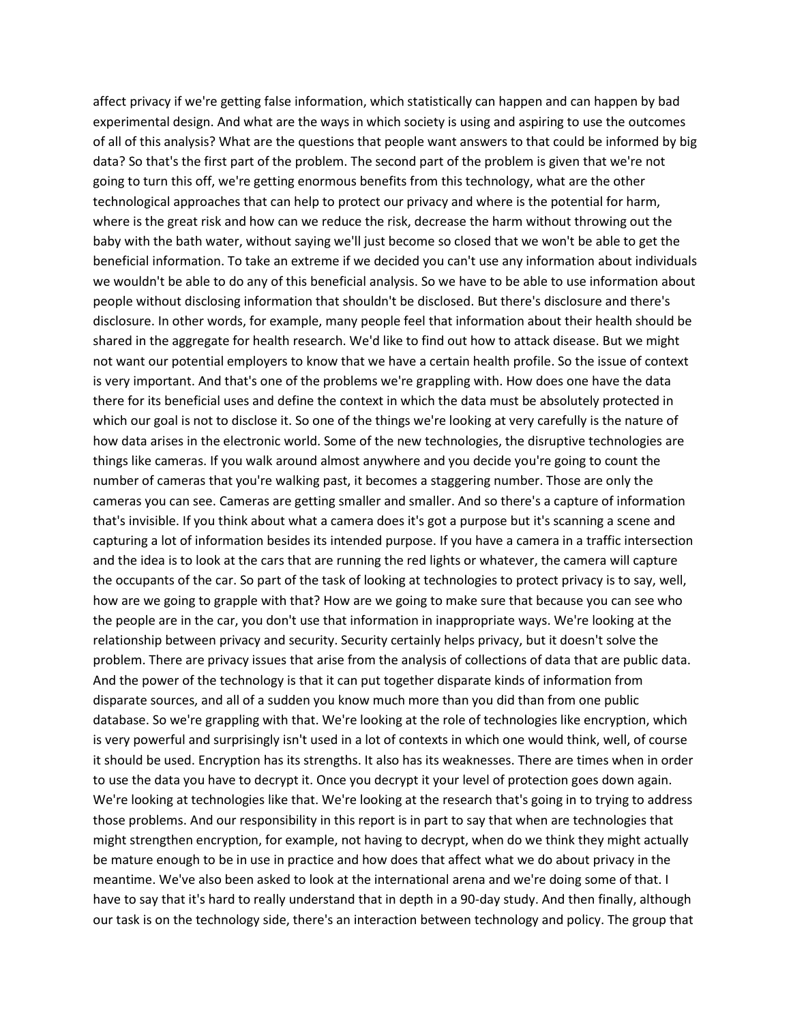affect privacy if we're getting false information, which statistically can happen and can happen by bad experimental design. And what are the ways in which society is using and aspiring to use the outcomes of all of this analysis? What are the questions that people want answers to that could be informed by big data? So that's the first part of the problem. The second part of the problem is given that we're not going to turn this off, we're getting enormous benefits from this technology, what are the other technological approaches that can help to protect our privacy and where is the potential for harm, where is the great risk and how can we reduce the risk, decrease the harm without throwing out the baby with the bath water, without saying we'll just become so closed that we won't be able to get the beneficial information. To take an extreme if we decided you can't use any information about individuals we wouldn't be able to do any of this beneficial analysis. So we have to be able to use information about people without disclosing information that shouldn't be disclosed. But there's disclosure and there's disclosure. In other words, for example, many people feel that information about their health should be shared in the aggregate for health research. We'd like to find out how to attack disease. But we might not want our potential employers to know that we have a certain health profile. So the issue of context is very important. And that's one of the problems we're grappling with. How does one have the data there for its beneficial uses and define the context in which the data must be absolutely protected in which our goal is not to disclose it. So one of the things we're looking at very carefully is the nature of how data arises in the electronic world. Some of the new technologies, the disruptive technologies are things like cameras. If you walk around almost anywhere and you decide you're going to count the number of cameras that you're walking past, it becomes a staggering number. Those are only the cameras you can see. Cameras are getting smaller and smaller. And so there's a capture of information that's invisible. If you think about what a camera does it's got a purpose but it's scanning a scene and capturing a lot of information besides its intended purpose. If you have a camera in a traffic intersection and the idea is to look at the cars that are running the red lights or whatever, the camera will capture the occupants of the car. So part of the task of looking at technologies to protect privacy is to say, well, how are we going to grapple with that? How are we going to make sure that because you can see who the people are in the car, you don't use that information in inappropriate ways. We're looking at the relationship between privacy and security. Security certainly helps privacy, but it doesn't solve the problem. There are privacy issues that arise from the analysis of collections of data that are public data. And the power of the technology is that it can put together disparate kinds of information from disparate sources, and all of a sudden you know much more than you did than from one public database. So we're grappling with that. We're looking at the role of technologies like encryption, which is very powerful and surprisingly isn't used in a lot of contexts in which one would think, well, of course it should be used. Encryption has its strengths. It also has its weaknesses. There are times when in order to use the data you have to decrypt it. Once you decrypt it your level of protection goes down again. We're looking at technologies like that. We're looking at the research that's going in to trying to address those problems. And our responsibility in this report is in part to say that when are technologies that might strengthen encryption, for example, not having to decrypt, when do we think they might actually be mature enough to be in use in practice and how does that affect what we do about privacy in the meantime. We've also been asked to look at the international arena and we're doing some of that. I have to say that it's hard to really understand that in depth in a 90-day study. And then finally, although our task is on the technology side, there's an interaction between technology and policy. The group that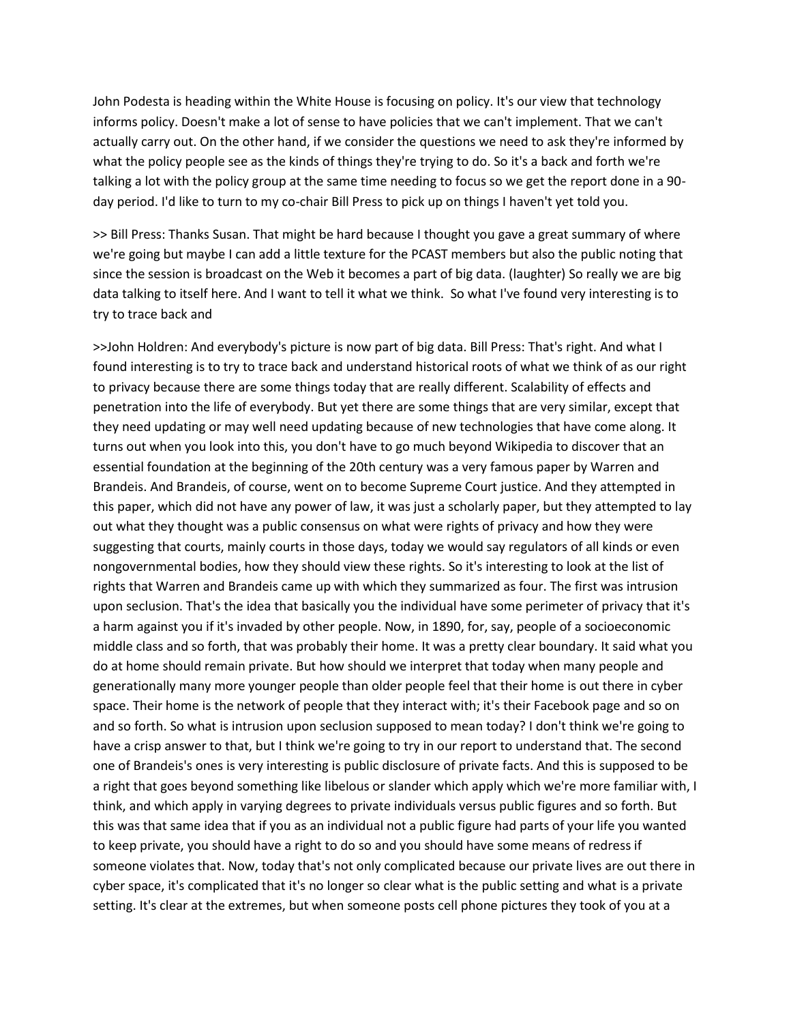John Podesta is heading within the White House is focusing on policy. It's our view that technology informs policy. Doesn't make a lot of sense to have policies that we can't implement. That we can't actually carry out. On the other hand, if we consider the questions we need to ask they're informed by what the policy people see as the kinds of things they're trying to do. So it's a back and forth we're talking a lot with the policy group at the same time needing to focus so we get the report done in a 90 day period. I'd like to turn to my co-chair Bill Press to pick up on things I haven't yet told you.

>> Bill Press: Thanks Susan. That might be hard because I thought you gave a great summary of where we're going but maybe I can add a little texture for the PCAST members but also the public noting that since the session is broadcast on the Web it becomes a part of big data. (laughter) So really we are big data talking to itself here. And I want to tell it what we think. So what I've found very interesting is to try to trace back and

>>John Holdren: And everybody's picture is now part of big data. Bill Press: That's right. And what I found interesting is to try to trace back and understand historical roots of what we think of as our right to privacy because there are some things today that are really different. Scalability of effects and penetration into the life of everybody. But yet there are some things that are very similar, except that they need updating or may well need updating because of new technologies that have come along. It turns out when you look into this, you don't have to go much beyond Wikipedia to discover that an essential foundation at the beginning of the 20th century was a very famous paper by Warren and Brandeis. And Brandeis, of course, went on to become Supreme Court justice. And they attempted in this paper, which did not have any power of law, it was just a scholarly paper, but they attempted to lay out what they thought was a public consensus on what were rights of privacy and how they were suggesting that courts, mainly courts in those days, today we would say regulators of all kinds or even nongovernmental bodies, how they should view these rights. So it's interesting to look at the list of rights that Warren and Brandeis came up with which they summarized as four. The first was intrusion upon seclusion. That's the idea that basically you the individual have some perimeter of privacy that it's a harm against you if it's invaded by other people. Now, in 1890, for, say, people of a socioeconomic middle class and so forth, that was probably their home. It was a pretty clear boundary. It said what you do at home should remain private. But how should we interpret that today when many people and generationally many more younger people than older people feel that their home is out there in cyber space. Their home is the network of people that they interact with; it's their Facebook page and so on and so forth. So what is intrusion upon seclusion supposed to mean today? I don't think we're going to have a crisp answer to that, but I think we're going to try in our report to understand that. The second one of Brandeis's ones is very interesting is public disclosure of private facts. And this is supposed to be a right that goes beyond something like libelous or slander which apply which we're more familiar with, I think, and which apply in varying degrees to private individuals versus public figures and so forth. But this was that same idea that if you as an individual not a public figure had parts of your life you wanted to keep private, you should have a right to do so and you should have some means of redress if someone violates that. Now, today that's not only complicated because our private lives are out there in cyber space, it's complicated that it's no longer so clear what is the public setting and what is a private setting. It's clear at the extremes, but when someone posts cell phone pictures they took of you at a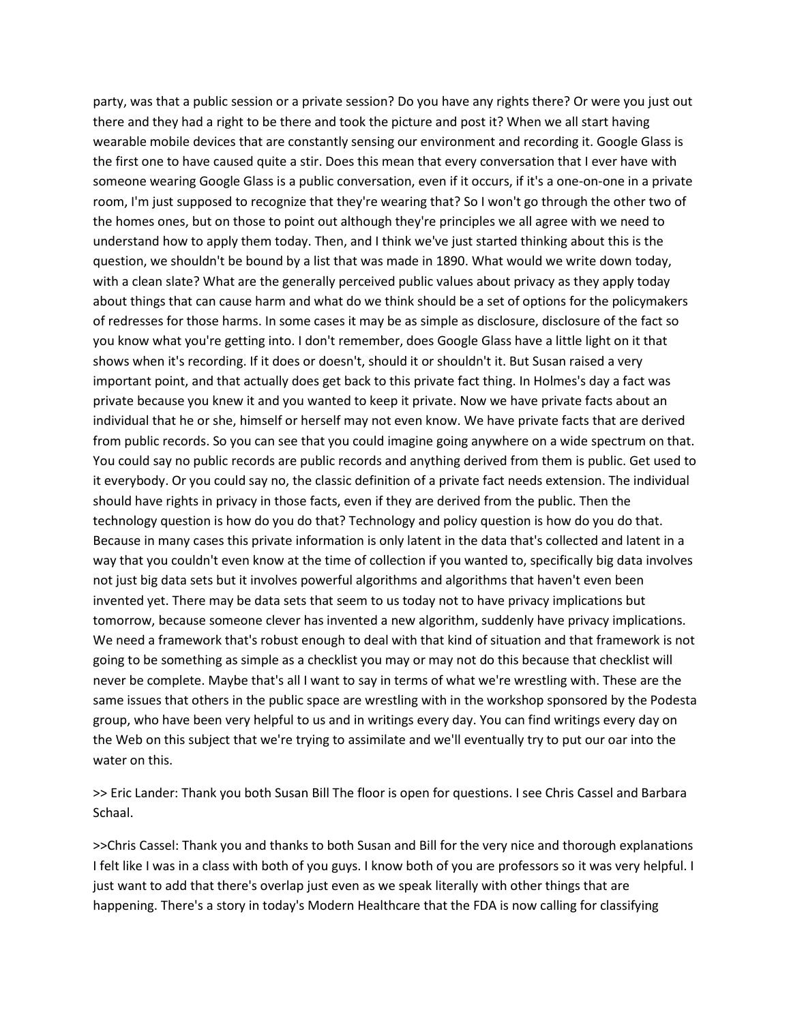party, was that a public session or a private session? Do you have any rights there? Or were you just out there and they had a right to be there and took the picture and post it? When we all start having wearable mobile devices that are constantly sensing our environment and recording it. Google Glass is the first one to have caused quite a stir. Does this mean that every conversation that I ever have with someone wearing Google Glass is a public conversation, even if it occurs, if it's a one-on-one in a private room, I'm just supposed to recognize that they're wearing that? So I won't go through the other two of the homes ones, but on those to point out although they're principles we all agree with we need to understand how to apply them today. Then, and I think we've just started thinking about this is the question, we shouldn't be bound by a list that was made in 1890. What would we write down today, with a clean slate? What are the generally perceived public values about privacy as they apply today about things that can cause harm and what do we think should be a set of options for the policymakers of redresses for those harms. In some cases it may be as simple as disclosure, disclosure of the fact so you know what you're getting into. I don't remember, does Google Glass have a little light on it that shows when it's recording. If it does or doesn't, should it or shouldn't it. But Susan raised a very important point, and that actually does get back to this private fact thing. In Holmes's day a fact was private because you knew it and you wanted to keep it private. Now we have private facts about an individual that he or she, himself or herself may not even know. We have private facts that are derived from public records. So you can see that you could imagine going anywhere on a wide spectrum on that. You could say no public records are public records and anything derived from them is public. Get used to it everybody. Or you could say no, the classic definition of a private fact needs extension. The individual should have rights in privacy in those facts, even if they are derived from the public. Then the technology question is how do you do that? Technology and policy question is how do you do that. Because in many cases this private information is only latent in the data that's collected and latent in a way that you couldn't even know at the time of collection if you wanted to, specifically big data involves not just big data sets but it involves powerful algorithms and algorithms that haven't even been invented yet. There may be data sets that seem to us today not to have privacy implications but tomorrow, because someone clever has invented a new algorithm, suddenly have privacy implications. We need a framework that's robust enough to deal with that kind of situation and that framework is not going to be something as simple as a checklist you may or may not do this because that checklist will never be complete. Maybe that's all I want to say in terms of what we're wrestling with. These are the same issues that others in the public space are wrestling with in the workshop sponsored by the Podesta group, who have been very helpful to us and in writings every day. You can find writings every day on the Web on this subject that we're trying to assimilate and we'll eventually try to put our oar into the water on this.

>> Eric Lander: Thank you both Susan Bill The floor is open for questions. I see Chris Cassel and Barbara Schaal.

>>Chris Cassel: Thank you and thanks to both Susan and Bill for the very nice and thorough explanations I felt like I was in a class with both of you guys. I know both of you are professors so it was very helpful. I just want to add that there's overlap just even as we speak literally with other things that are happening. There's a story in today's Modern Healthcare that the FDA is now calling for classifying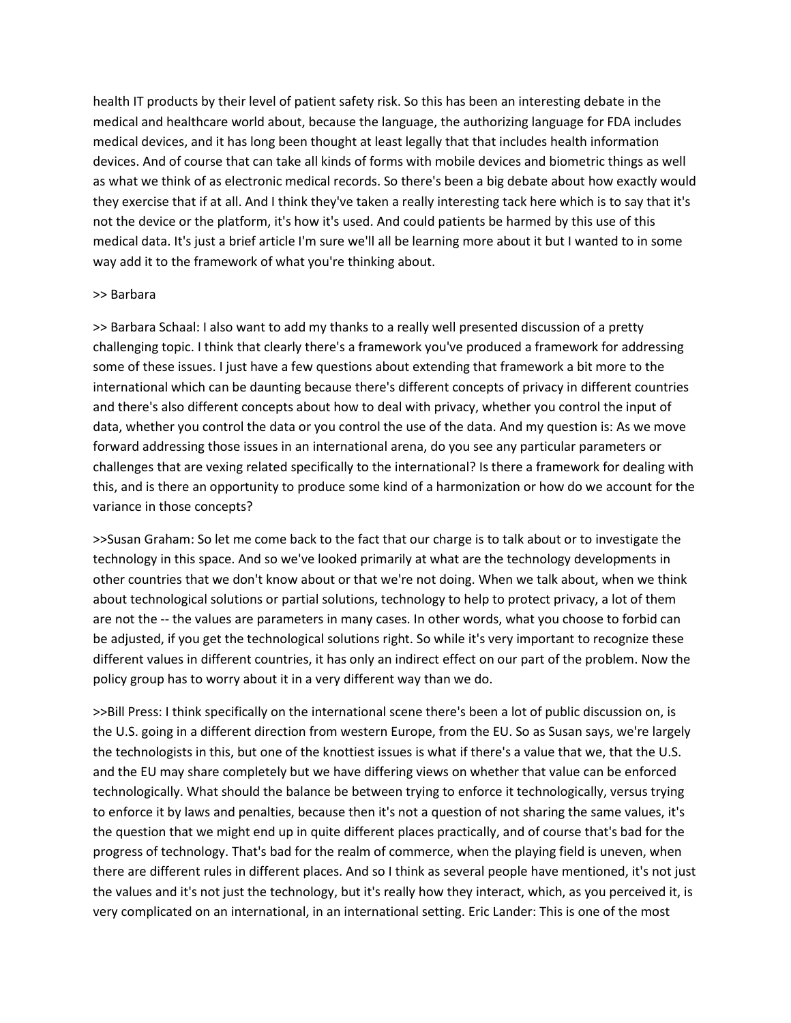health IT products by their level of patient safety risk. So this has been an interesting debate in the medical and healthcare world about, because the language, the authorizing language for FDA includes medical devices, and it has long been thought at least legally that that includes health information devices. And of course that can take all kinds of forms with mobile devices and biometric things as well as what we think of as electronic medical records. So there's been a big debate about how exactly would they exercise that if at all. And I think they've taken a really interesting tack here which is to say that it's not the device or the platform, it's how it's used. And could patients be harmed by this use of this medical data. It's just a brief article I'm sure we'll all be learning more about it but I wanted to in some way add it to the framework of what you're thinking about.

### >> Barbara

>> Barbara Schaal: I also want to add my thanks to a really well presented discussion of a pretty challenging topic. I think that clearly there's a framework you've produced a framework for addressing some of these issues. I just have a few questions about extending that framework a bit more to the international which can be daunting because there's different concepts of privacy in different countries and there's also different concepts about how to deal with privacy, whether you control the input of data, whether you control the data or you control the use of the data. And my question is: As we move forward addressing those issues in an international arena, do you see any particular parameters or challenges that are vexing related specifically to the international? Is there a framework for dealing with this, and is there an opportunity to produce some kind of a harmonization or how do we account for the variance in those concepts?

>>Susan Graham: So let me come back to the fact that our charge is to talk about or to investigate the technology in this space. And so we've looked primarily at what are the technology developments in other countries that we don't know about or that we're not doing. When we talk about, when we think about technological solutions or partial solutions, technology to help to protect privacy, a lot of them are not the -- the values are parameters in many cases. In other words, what you choose to forbid can be adjusted, if you get the technological solutions right. So while it's very important to recognize these different values in different countries, it has only an indirect effect on our part of the problem. Now the policy group has to worry about it in a very different way than we do.

>>Bill Press: I think specifically on the international scene there's been a lot of public discussion on, is the U.S. going in a different direction from western Europe, from the EU. So as Susan says, we're largely the technologists in this, but one of the knottiest issues is what if there's a value that we, that the U.S. and the EU may share completely but we have differing views on whether that value can be enforced technologically. What should the balance be between trying to enforce it technologically, versus trying to enforce it by laws and penalties, because then it's not a question of not sharing the same values, it's the question that we might end up in quite different places practically, and of course that's bad for the progress of technology. That's bad for the realm of commerce, when the playing field is uneven, when there are different rules in different places. And so I think as several people have mentioned, it's not just the values and it's not just the technology, but it's really how they interact, which, as you perceived it, is very complicated on an international, in an international setting. Eric Lander: This is one of the most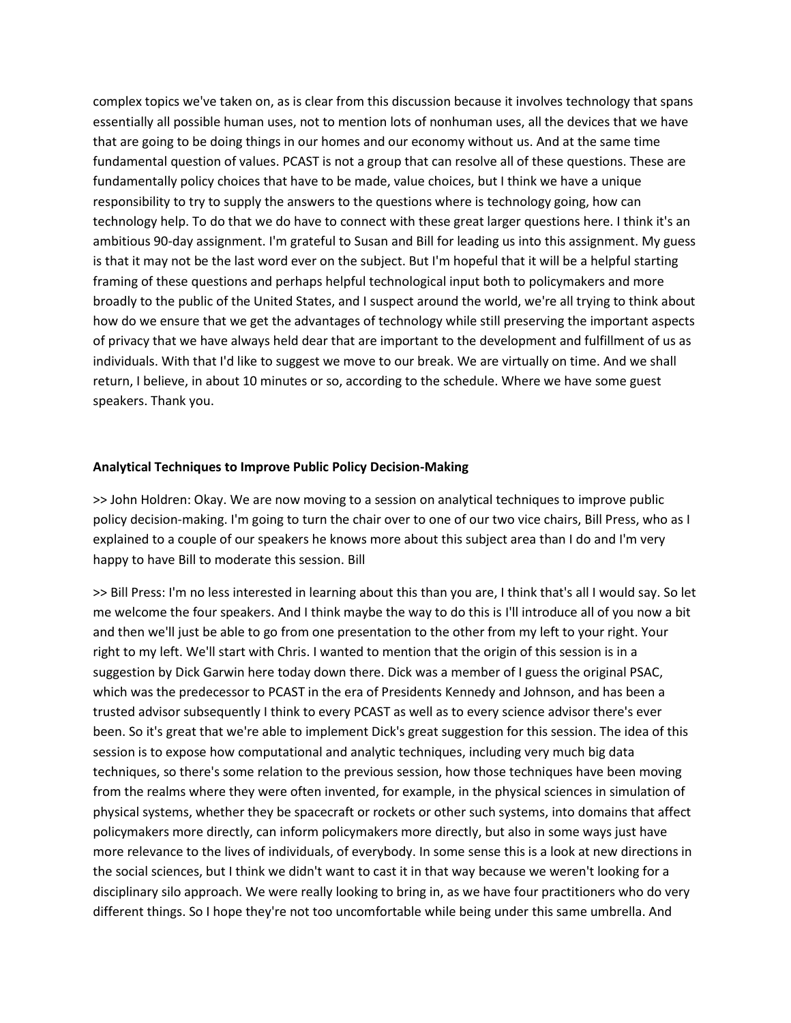complex topics we've taken on, as is clear from this discussion because it involves technology that spans essentially all possible human uses, not to mention lots of nonhuman uses, all the devices that we have that are going to be doing things in our homes and our economy without us. And at the same time fundamental question of values. PCAST is not a group that can resolve all of these questions. These are fundamentally policy choices that have to be made, value choices, but I think we have a unique responsibility to try to supply the answers to the questions where is technology going, how can technology help. To do that we do have to connect with these great larger questions here. I think it's an ambitious 90-day assignment. I'm grateful to Susan and Bill for leading us into this assignment. My guess is that it may not be the last word ever on the subject. But I'm hopeful that it will be a helpful starting framing of these questions and perhaps helpful technological input both to policymakers and more broadly to the public of the United States, and I suspect around the world, we're all trying to think about how do we ensure that we get the advantages of technology while still preserving the important aspects of privacy that we have always held dear that are important to the development and fulfillment of us as individuals. With that I'd like to suggest we move to our break. We are virtually on time. And we shall return, I believe, in about 10 minutes or so, according to the schedule. Where we have some guest speakers. Thank you.

## **Analytical Techniques to Improve Public Policy Decision-Making**

>> John Holdren: Okay. We are now moving to a session on analytical techniques to improve public policy decision-making. I'm going to turn the chair over to one of our two vice chairs, Bill Press, who as I explained to a couple of our speakers he knows more about this subject area than I do and I'm very happy to have Bill to moderate this session. Bill

>> Bill Press: I'm no less interested in learning about this than you are, I think that's all I would say. So let me welcome the four speakers. And I think maybe the way to do this is I'll introduce all of you now a bit and then we'll just be able to go from one presentation to the other from my left to your right. Your right to my left. We'll start with Chris. I wanted to mention that the origin of this session is in a suggestion by Dick Garwin here today down there. Dick was a member of I guess the original PSAC, which was the predecessor to PCAST in the era of Presidents Kennedy and Johnson, and has been a trusted advisor subsequently I think to every PCAST as well as to every science advisor there's ever been. So it's great that we're able to implement Dick's great suggestion for this session. The idea of this session is to expose how computational and analytic techniques, including very much big data techniques, so there's some relation to the previous session, how those techniques have been moving from the realms where they were often invented, for example, in the physical sciences in simulation of physical systems, whether they be spacecraft or rockets or other such systems, into domains that affect policymakers more directly, can inform policymakers more directly, but also in some ways just have more relevance to the lives of individuals, of everybody. In some sense this is a look at new directions in the social sciences, but I think we didn't want to cast it in that way because we weren't looking for a disciplinary silo approach. We were really looking to bring in, as we have four practitioners who do very different things. So I hope they're not too uncomfortable while being under this same umbrella. And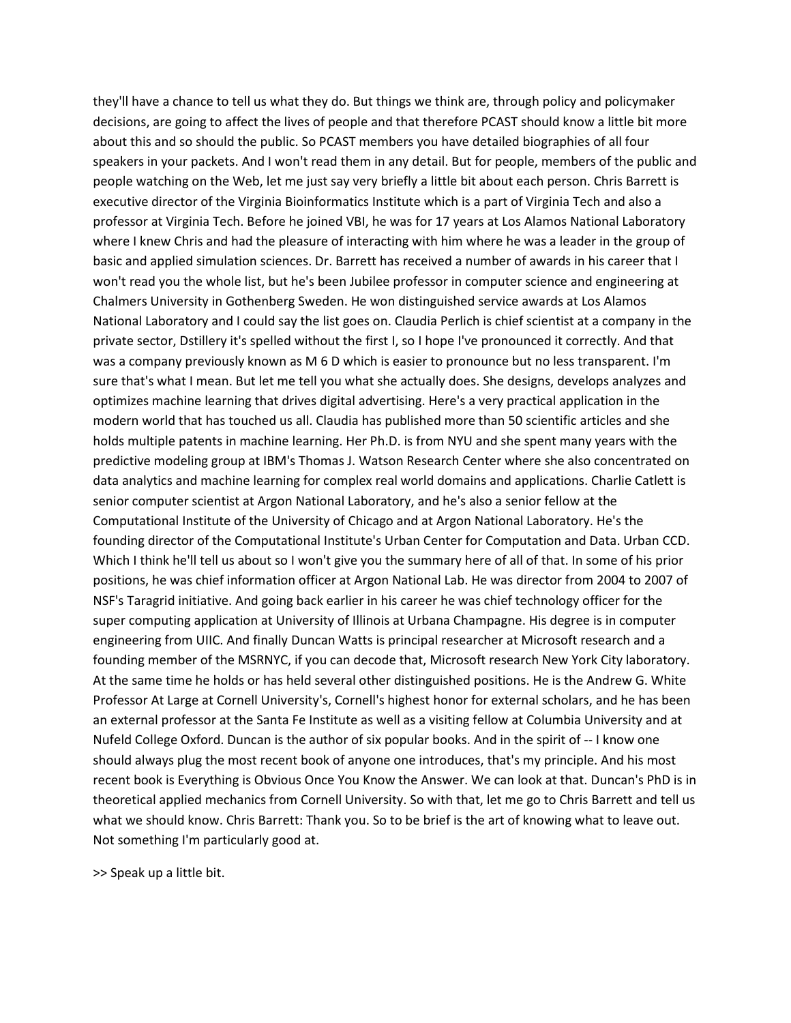they'll have a chance to tell us what they do. But things we think are, through policy and policymaker decisions, are going to affect the lives of people and that therefore PCAST should know a little bit more about this and so should the public. So PCAST members you have detailed biographies of all four speakers in your packets. And I won't read them in any detail. But for people, members of the public and people watching on the Web, let me just say very briefly a little bit about each person. Chris Barrett is executive director of the Virginia Bioinformatics Institute which is a part of Virginia Tech and also a professor at Virginia Tech. Before he joined VBI, he was for 17 years at Los Alamos National Laboratory where I knew Chris and had the pleasure of interacting with him where he was a leader in the group of basic and applied simulation sciences. Dr. Barrett has received a number of awards in his career that I won't read you the whole list, but he's been Jubilee professor in computer science and engineering at Chalmers University in Gothenberg Sweden. He won distinguished service awards at Los Alamos National Laboratory and I could say the list goes on. Claudia Perlich is chief scientist at a company in the private sector, Dstillery it's spelled without the first I, so I hope I've pronounced it correctly. And that was a company previously known as M 6 D which is easier to pronounce but no less transparent. I'm sure that's what I mean. But let me tell you what she actually does. She designs, develops analyzes and optimizes machine learning that drives digital advertising. Here's a very practical application in the modern world that has touched us all. Claudia has published more than 50 scientific articles and she holds multiple patents in machine learning. Her Ph.D. is from NYU and she spent many years with the predictive modeling group at IBM's Thomas J. Watson Research Center where she also concentrated on data analytics and machine learning for complex real world domains and applications. Charlie Catlett is senior computer scientist at Argon National Laboratory, and he's also a senior fellow at the Computational Institute of the University of Chicago and at Argon National Laboratory. He's the founding director of the Computational Institute's Urban Center for Computation and Data. Urban CCD. Which I think he'll tell us about so I won't give you the summary here of all of that. In some of his prior positions, he was chief information officer at Argon National Lab. He was director from 2004 to 2007 of NSF's Taragrid initiative. And going back earlier in his career he was chief technology officer for the super computing application at University of Illinois at Urbana Champagne. His degree is in computer engineering from UIIC. And finally Duncan Watts is principal researcher at Microsoft research and a founding member of the MSRNYC, if you can decode that, Microsoft research New York City laboratory. At the same time he holds or has held several other distinguished positions. He is the Andrew G. White Professor At Large at Cornell University's, Cornell's highest honor for external scholars, and he has been an external professor at the Santa Fe Institute as well as a visiting fellow at Columbia University and at Nufeld College Oxford. Duncan is the author of six popular books. And in the spirit of -- I know one should always plug the most recent book of anyone one introduces, that's my principle. And his most recent book is Everything is Obvious Once You Know the Answer. We can look at that. Duncan's PhD is in theoretical applied mechanics from Cornell University. So with that, let me go to Chris Barrett and tell us what we should know. Chris Barrett: Thank you. So to be brief is the art of knowing what to leave out. Not something I'm particularly good at.

>> Speak up a little bit.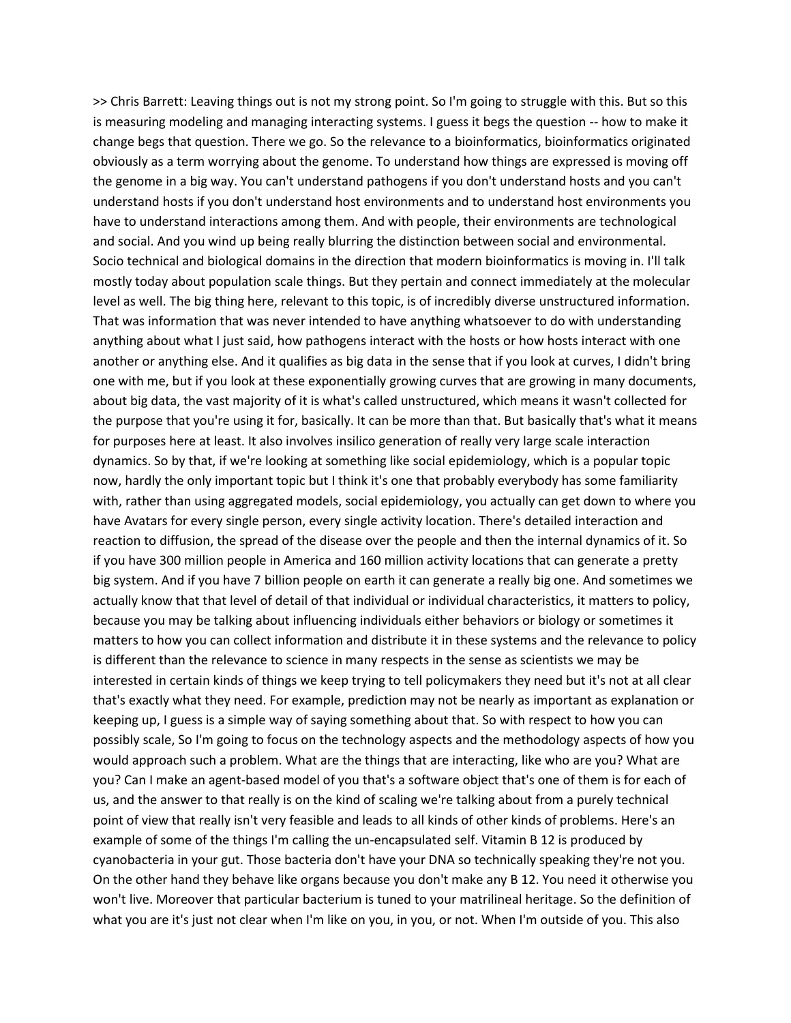>> Chris Barrett: Leaving things out is not my strong point. So I'm going to struggle with this. But so this is measuring modeling and managing interacting systems. I guess it begs the question -- how to make it change begs that question. There we go. So the relevance to a bioinformatics, bioinformatics originated obviously as a term worrying about the genome. To understand how things are expressed is moving off the genome in a big way. You can't understand pathogens if you don't understand hosts and you can't understand hosts if you don't understand host environments and to understand host environments you have to understand interactions among them. And with people, their environments are technological and social. And you wind up being really blurring the distinction between social and environmental. Socio technical and biological domains in the direction that modern bioinformatics is moving in. I'll talk mostly today about population scale things. But they pertain and connect immediately at the molecular level as well. The big thing here, relevant to this topic, is of incredibly diverse unstructured information. That was information that was never intended to have anything whatsoever to do with understanding anything about what I just said, how pathogens interact with the hosts or how hosts interact with one another or anything else. And it qualifies as big data in the sense that if you look at curves, I didn't bring one with me, but if you look at these exponentially growing curves that are growing in many documents, about big data, the vast majority of it is what's called unstructured, which means it wasn't collected for the purpose that you're using it for, basically. It can be more than that. But basically that's what it means for purposes here at least. It also involves insilico generation of really very large scale interaction dynamics. So by that, if we're looking at something like social epidemiology, which is a popular topic now, hardly the only important topic but I think it's one that probably everybody has some familiarity with, rather than using aggregated models, social epidemiology, you actually can get down to where you have Avatars for every single person, every single activity location. There's detailed interaction and reaction to diffusion, the spread of the disease over the people and then the internal dynamics of it. So if you have 300 million people in America and 160 million activity locations that can generate a pretty big system. And if you have 7 billion people on earth it can generate a really big one. And sometimes we actually know that that level of detail of that individual or individual characteristics, it matters to policy, because you may be talking about influencing individuals either behaviors or biology or sometimes it matters to how you can collect information and distribute it in these systems and the relevance to policy is different than the relevance to science in many respects in the sense as scientists we may be interested in certain kinds of things we keep trying to tell policymakers they need but it's not at all clear that's exactly what they need. For example, prediction may not be nearly as important as explanation or keeping up, I guess is a simple way of saying something about that. So with respect to how you can possibly scale, So I'm going to focus on the technology aspects and the methodology aspects of how you would approach such a problem. What are the things that are interacting, like who are you? What are you? Can I make an agent-based model of you that's a software object that's one of them is for each of us, and the answer to that really is on the kind of scaling we're talking about from a purely technical point of view that really isn't very feasible and leads to all kinds of other kinds of problems. Here's an example of some of the things I'm calling the un-encapsulated self. Vitamin B 12 is produced by cyanobacteria in your gut. Those bacteria don't have your DNA so technically speaking they're not you. On the other hand they behave like organs because you don't make any B 12. You need it otherwise you won't live. Moreover that particular bacterium is tuned to your matrilineal heritage. So the definition of what you are it's just not clear when I'm like on you, in you, or not. When I'm outside of you. This also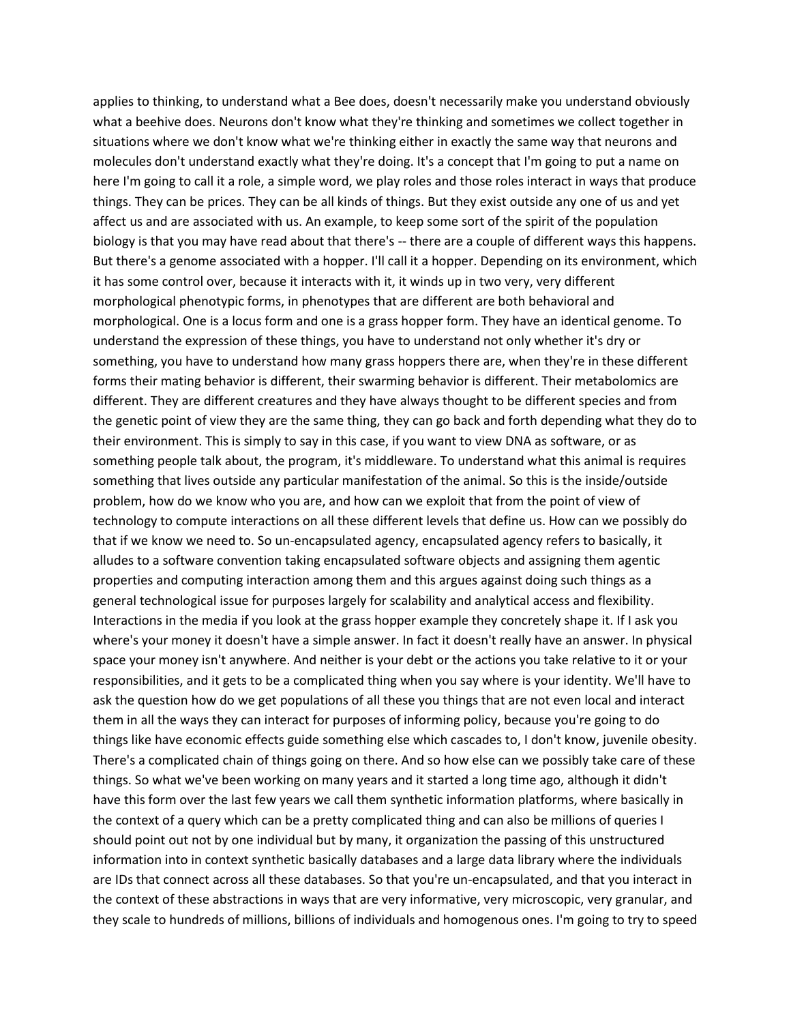applies to thinking, to understand what a Bee does, doesn't necessarily make you understand obviously what a beehive does. Neurons don't know what they're thinking and sometimes we collect together in situations where we don't know what we're thinking either in exactly the same way that neurons and molecules don't understand exactly what they're doing. It's a concept that I'm going to put a name on here I'm going to call it a role, a simple word, we play roles and those roles interact in ways that produce things. They can be prices. They can be all kinds of things. But they exist outside any one of us and yet affect us and are associated with us. An example, to keep some sort of the spirit of the population biology is that you may have read about that there's -- there are a couple of different ways this happens. But there's a genome associated with a hopper. I'll call it a hopper. Depending on its environment, which it has some control over, because it interacts with it, it winds up in two very, very different morphological phenotypic forms, in phenotypes that are different are both behavioral and morphological. One is a locus form and one is a grass hopper form. They have an identical genome. To understand the expression of these things, you have to understand not only whether it's dry or something, you have to understand how many grass hoppers there are, when they're in these different forms their mating behavior is different, their swarming behavior is different. Their metabolomics are different. They are different creatures and they have always thought to be different species and from the genetic point of view they are the same thing, they can go back and forth depending what they do to their environment. This is simply to say in this case, if you want to view DNA as software, or as something people talk about, the program, it's middleware. To understand what this animal is requires something that lives outside any particular manifestation of the animal. So this is the inside/outside problem, how do we know who you are, and how can we exploit that from the point of view of technology to compute interactions on all these different levels that define us. How can we possibly do that if we know we need to. So un-encapsulated agency, encapsulated agency refers to basically, it alludes to a software convention taking encapsulated software objects and assigning them agentic properties and computing interaction among them and this argues against doing such things as a general technological issue for purposes largely for scalability and analytical access and flexibility. Interactions in the media if you look at the grass hopper example they concretely shape it. If I ask you where's your money it doesn't have a simple answer. In fact it doesn't really have an answer. In physical space your money isn't anywhere. And neither is your debt or the actions you take relative to it or your responsibilities, and it gets to be a complicated thing when you say where is your identity. We'll have to ask the question how do we get populations of all these you things that are not even local and interact them in all the ways they can interact for purposes of informing policy, because you're going to do things like have economic effects guide something else which cascades to, I don't know, juvenile obesity. There's a complicated chain of things going on there. And so how else can we possibly take care of these things. So what we've been working on many years and it started a long time ago, although it didn't have this form over the last few years we call them synthetic information platforms, where basically in the context of a query which can be a pretty complicated thing and can also be millions of queries I should point out not by one individual but by many, it organization the passing of this unstructured information into in context synthetic basically databases and a large data library where the individuals are IDs that connect across all these databases. So that you're un-encapsulated, and that you interact in the context of these abstractions in ways that are very informative, very microscopic, very granular, and they scale to hundreds of millions, billions of individuals and homogenous ones. I'm going to try to speed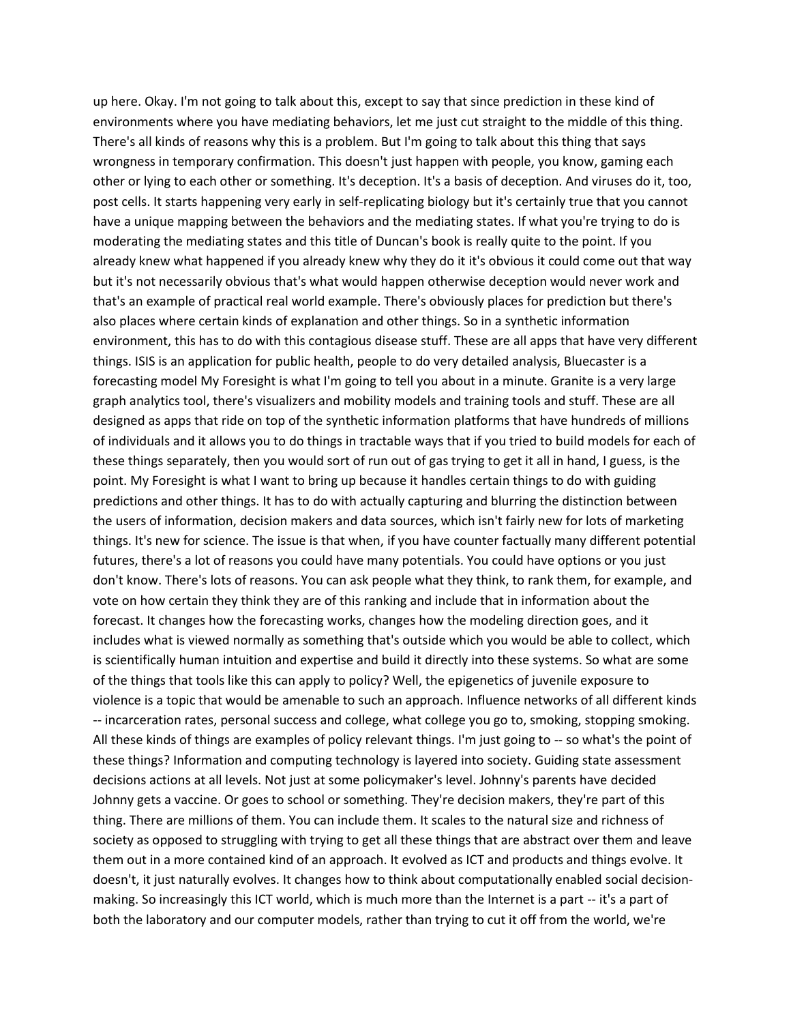up here. Okay. I'm not going to talk about this, except to say that since prediction in these kind of environments where you have mediating behaviors, let me just cut straight to the middle of this thing. There's all kinds of reasons why this is a problem. But I'm going to talk about this thing that says wrongness in temporary confirmation. This doesn't just happen with people, you know, gaming each other or lying to each other or something. It's deception. It's a basis of deception. And viruses do it, too, post cells. It starts happening very early in self-replicating biology but it's certainly true that you cannot have a unique mapping between the behaviors and the mediating states. If what you're trying to do is moderating the mediating states and this title of Duncan's book is really quite to the point. If you already knew what happened if you already knew why they do it it's obvious it could come out that way but it's not necessarily obvious that's what would happen otherwise deception would never work and that's an example of practical real world example. There's obviously places for prediction but there's also places where certain kinds of explanation and other things. So in a synthetic information environment, this has to do with this contagious disease stuff. These are all apps that have very different things. ISIS is an application for public health, people to do very detailed analysis, Bluecaster is a forecasting model My Foresight is what I'm going to tell you about in a minute. Granite is a very large graph analytics tool, there's visualizers and mobility models and training tools and stuff. These are all designed as apps that ride on top of the synthetic information platforms that have hundreds of millions of individuals and it allows you to do things in tractable ways that if you tried to build models for each of these things separately, then you would sort of run out of gas trying to get it all in hand, I guess, is the point. My Foresight is what I want to bring up because it handles certain things to do with guiding predictions and other things. It has to do with actually capturing and blurring the distinction between the users of information, decision makers and data sources, which isn't fairly new for lots of marketing things. It's new for science. The issue is that when, if you have counter factually many different potential futures, there's a lot of reasons you could have many potentials. You could have options or you just don't know. There's lots of reasons. You can ask people what they think, to rank them, for example, and vote on how certain they think they are of this ranking and include that in information about the forecast. It changes how the forecasting works, changes how the modeling direction goes, and it includes what is viewed normally as something that's outside which you would be able to collect, which is scientifically human intuition and expertise and build it directly into these systems. So what are some of the things that tools like this can apply to policy? Well, the epigenetics of juvenile exposure to violence is a topic that would be amenable to such an approach. Influence networks of all different kinds -- incarceration rates, personal success and college, what college you go to, smoking, stopping smoking. All these kinds of things are examples of policy relevant things. I'm just going to -- so what's the point of these things? Information and computing technology is layered into society. Guiding state assessment decisions actions at all levels. Not just at some policymaker's level. Johnny's parents have decided Johnny gets a vaccine. Or goes to school or something. They're decision makers, they're part of this thing. There are millions of them. You can include them. It scales to the natural size and richness of society as opposed to struggling with trying to get all these things that are abstract over them and leave them out in a more contained kind of an approach. It evolved as ICT and products and things evolve. It doesn't, it just naturally evolves. It changes how to think about computationally enabled social decisionmaking. So increasingly this ICT world, which is much more than the Internet is a part -- it's a part of both the laboratory and our computer models, rather than trying to cut it off from the world, we're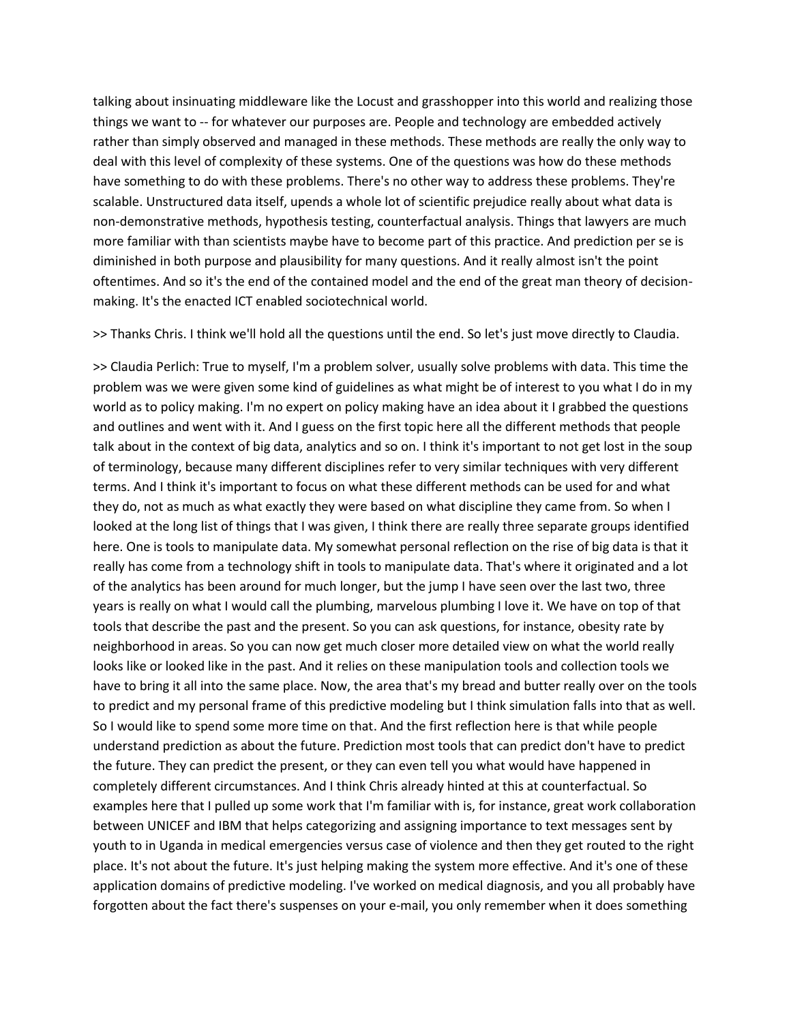talking about insinuating middleware like the Locust and grasshopper into this world and realizing those things we want to -- for whatever our purposes are. People and technology are embedded actively rather than simply observed and managed in these methods. These methods are really the only way to deal with this level of complexity of these systems. One of the questions was how do these methods have something to do with these problems. There's no other way to address these problems. They're scalable. Unstructured data itself, upends a whole lot of scientific prejudice really about what data is non-demonstrative methods, hypothesis testing, counterfactual analysis. Things that lawyers are much more familiar with than scientists maybe have to become part of this practice. And prediction per se is diminished in both purpose and plausibility for many questions. And it really almost isn't the point oftentimes. And so it's the end of the contained model and the end of the great man theory of decisionmaking. It's the enacted ICT enabled sociotechnical world.

>> Thanks Chris. I think we'll hold all the questions until the end. So let's just move directly to Claudia.

>> Claudia Perlich: True to myself, I'm a problem solver, usually solve problems with data. This time the problem was we were given some kind of guidelines as what might be of interest to you what I do in my world as to policy making. I'm no expert on policy making have an idea about it I grabbed the questions and outlines and went with it. And I guess on the first topic here all the different methods that people talk about in the context of big data, analytics and so on. I think it's important to not get lost in the soup of terminology, because many different disciplines refer to very similar techniques with very different terms. And I think it's important to focus on what these different methods can be used for and what they do, not as much as what exactly they were based on what discipline they came from. So when I looked at the long list of things that I was given, I think there are really three separate groups identified here. One is tools to manipulate data. My somewhat personal reflection on the rise of big data is that it really has come from a technology shift in tools to manipulate data. That's where it originated and a lot of the analytics has been around for much longer, but the jump I have seen over the last two, three years is really on what I would call the plumbing, marvelous plumbing I love it. We have on top of that tools that describe the past and the present. So you can ask questions, for instance, obesity rate by neighborhood in areas. So you can now get much closer more detailed view on what the world really looks like or looked like in the past. And it relies on these manipulation tools and collection tools we have to bring it all into the same place. Now, the area that's my bread and butter really over on the tools to predict and my personal frame of this predictive modeling but I think simulation falls into that as well. So I would like to spend some more time on that. And the first reflection here is that while people understand prediction as about the future. Prediction most tools that can predict don't have to predict the future. They can predict the present, or they can even tell you what would have happened in completely different circumstances. And I think Chris already hinted at this at counterfactual. So examples here that I pulled up some work that I'm familiar with is, for instance, great work collaboration between UNICEF and IBM that helps categorizing and assigning importance to text messages sent by youth to in Uganda in medical emergencies versus case of violence and then they get routed to the right place. It's not about the future. It's just helping making the system more effective. And it's one of these application domains of predictive modeling. I've worked on medical diagnosis, and you all probably have forgotten about the fact there's suspenses on your e-mail, you only remember when it does something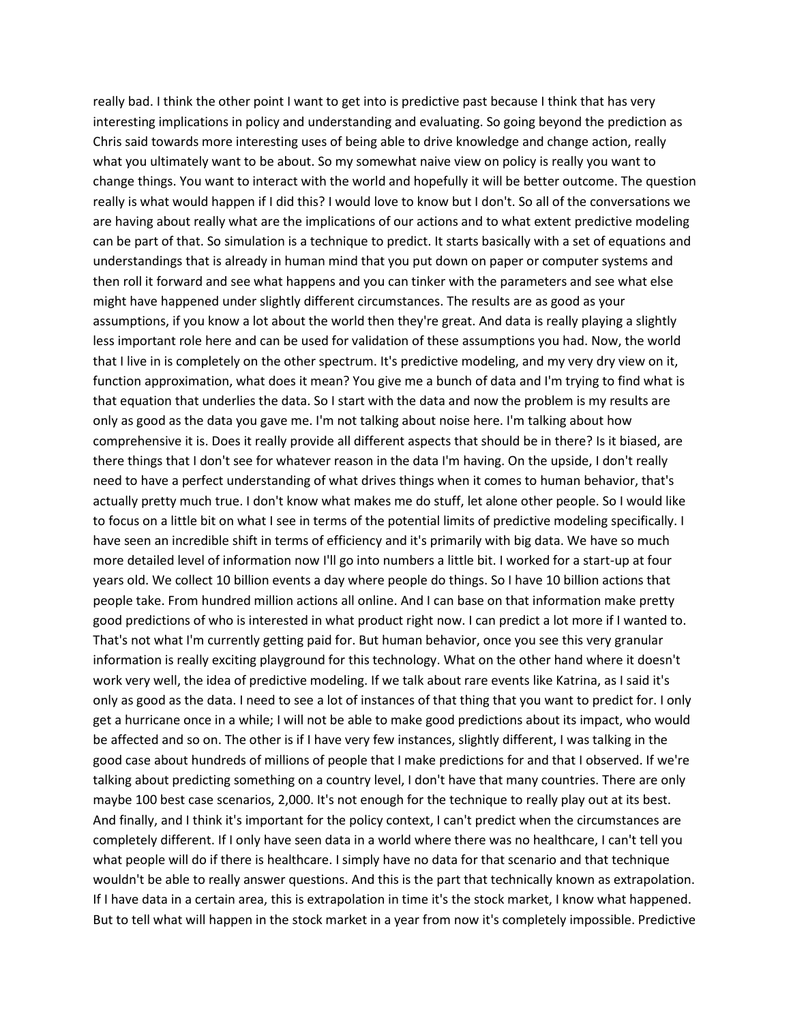really bad. I think the other point I want to get into is predictive past because I think that has very interesting implications in policy and understanding and evaluating. So going beyond the prediction as Chris said towards more interesting uses of being able to drive knowledge and change action, really what you ultimately want to be about. So my somewhat naive view on policy is really you want to change things. You want to interact with the world and hopefully it will be better outcome. The question really is what would happen if I did this? I would love to know but I don't. So all of the conversations we are having about really what are the implications of our actions and to what extent predictive modeling can be part of that. So simulation is a technique to predict. It starts basically with a set of equations and understandings that is already in human mind that you put down on paper or computer systems and then roll it forward and see what happens and you can tinker with the parameters and see what else might have happened under slightly different circumstances. The results are as good as your assumptions, if you know a lot about the world then they're great. And data is really playing a slightly less important role here and can be used for validation of these assumptions you had. Now, the world that I live in is completely on the other spectrum. It's predictive modeling, and my very dry view on it, function approximation, what does it mean? You give me a bunch of data and I'm trying to find what is that equation that underlies the data. So I start with the data and now the problem is my results are only as good as the data you gave me. I'm not talking about noise here. I'm talking about how comprehensive it is. Does it really provide all different aspects that should be in there? Is it biased, are there things that I don't see for whatever reason in the data I'm having. On the upside, I don't really need to have a perfect understanding of what drives things when it comes to human behavior, that's actually pretty much true. I don't know what makes me do stuff, let alone other people. So I would like to focus on a little bit on what I see in terms of the potential limits of predictive modeling specifically. I have seen an incredible shift in terms of efficiency and it's primarily with big data. We have so much more detailed level of information now I'll go into numbers a little bit. I worked for a start-up at four years old. We collect 10 billion events a day where people do things. So I have 10 billion actions that people take. From hundred million actions all online. And I can base on that information make pretty good predictions of who is interested in what product right now. I can predict a lot more if I wanted to. That's not what I'm currently getting paid for. But human behavior, once you see this very granular information is really exciting playground for this technology. What on the other hand where it doesn't work very well, the idea of predictive modeling. If we talk about rare events like Katrina, as I said it's only as good as the data. I need to see a lot of instances of that thing that you want to predict for. I only get a hurricane once in a while; I will not be able to make good predictions about its impact, who would be affected and so on. The other is if I have very few instances, slightly different, I was talking in the good case about hundreds of millions of people that I make predictions for and that I observed. If we're talking about predicting something on a country level, I don't have that many countries. There are only maybe 100 best case scenarios, 2,000. It's not enough for the technique to really play out at its best. And finally, and I think it's important for the policy context, I can't predict when the circumstances are completely different. If I only have seen data in a world where there was no healthcare, I can't tell you what people will do if there is healthcare. I simply have no data for that scenario and that technique wouldn't be able to really answer questions. And this is the part that technically known as extrapolation. If I have data in a certain area, this is extrapolation in time it's the stock market, I know what happened. But to tell what will happen in the stock market in a year from now it's completely impossible. Predictive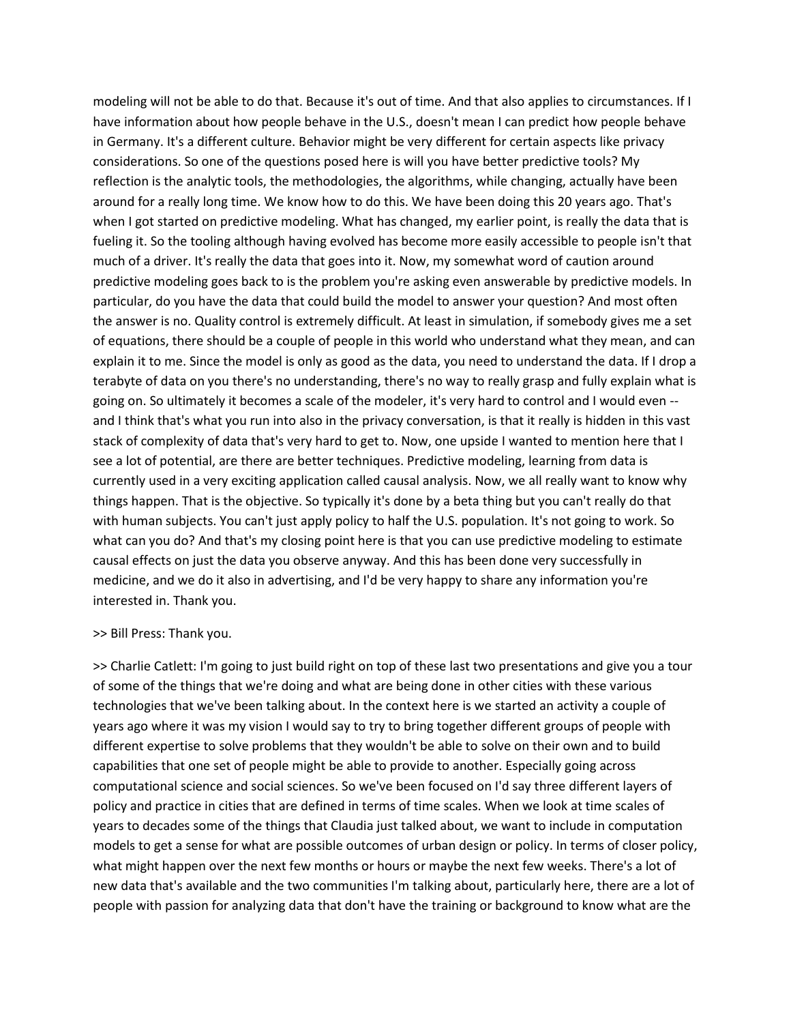modeling will not be able to do that. Because it's out of time. And that also applies to circumstances. If I have information about how people behave in the U.S., doesn't mean I can predict how people behave in Germany. It's a different culture. Behavior might be very different for certain aspects like privacy considerations. So one of the questions posed here is will you have better predictive tools? My reflection is the analytic tools, the methodologies, the algorithms, while changing, actually have been around for a really long time. We know how to do this. We have been doing this 20 years ago. That's when I got started on predictive modeling. What has changed, my earlier point, is really the data that is fueling it. So the tooling although having evolved has become more easily accessible to people isn't that much of a driver. It's really the data that goes into it. Now, my somewhat word of caution around predictive modeling goes back to is the problem you're asking even answerable by predictive models. In particular, do you have the data that could build the model to answer your question? And most often the answer is no. Quality control is extremely difficult. At least in simulation, if somebody gives me a set of equations, there should be a couple of people in this world who understand what they mean, and can explain it to me. Since the model is only as good as the data, you need to understand the data. If I drop a terabyte of data on you there's no understanding, there's no way to really grasp and fully explain what is going on. So ultimately it becomes a scale of the modeler, it's very hard to control and I would even - and I think that's what you run into also in the privacy conversation, is that it really is hidden in this vast stack of complexity of data that's very hard to get to. Now, one upside I wanted to mention here that I see a lot of potential, are there are better techniques. Predictive modeling, learning from data is currently used in a very exciting application called causal analysis. Now, we all really want to know why things happen. That is the objective. So typically it's done by a beta thing but you can't really do that with human subjects. You can't just apply policy to half the U.S. population. It's not going to work. So what can you do? And that's my closing point here is that you can use predictive modeling to estimate causal effects on just the data you observe anyway. And this has been done very successfully in medicine, and we do it also in advertising, and I'd be very happy to share any information you're interested in. Thank you.

#### >> Bill Press: Thank you.

>> Charlie Catlett: I'm going to just build right on top of these last two presentations and give you a tour of some of the things that we're doing and what are being done in other cities with these various technologies that we've been talking about. In the context here is we started an activity a couple of years ago where it was my vision I would say to try to bring together different groups of people with different expertise to solve problems that they wouldn't be able to solve on their own and to build capabilities that one set of people might be able to provide to another. Especially going across computational science and social sciences. So we've been focused on I'd say three different layers of policy and practice in cities that are defined in terms of time scales. When we look at time scales of years to decades some of the things that Claudia just talked about, we want to include in computation models to get a sense for what are possible outcomes of urban design or policy. In terms of closer policy, what might happen over the next few months or hours or maybe the next few weeks. There's a lot of new data that's available and the two communities I'm talking about, particularly here, there are a lot of people with passion for analyzing data that don't have the training or background to know what are the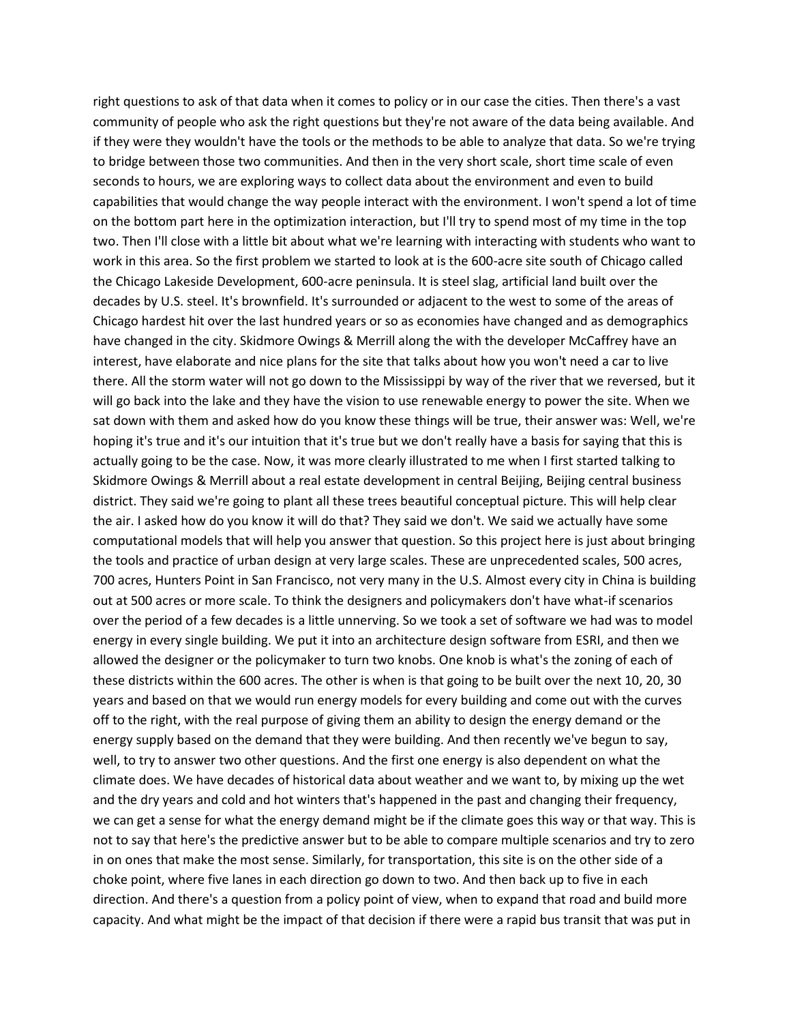right questions to ask of that data when it comes to policy or in our case the cities. Then there's a vast community of people who ask the right questions but they're not aware of the data being available. And if they were they wouldn't have the tools or the methods to be able to analyze that data. So we're trying to bridge between those two communities. And then in the very short scale, short time scale of even seconds to hours, we are exploring ways to collect data about the environment and even to build capabilities that would change the way people interact with the environment. I won't spend a lot of time on the bottom part here in the optimization interaction, but I'll try to spend most of my time in the top two. Then I'll close with a little bit about what we're learning with interacting with students who want to work in this area. So the first problem we started to look at is the 600-acre site south of Chicago called the Chicago Lakeside Development, 600-acre peninsula. It is steel slag, artificial land built over the decades by U.S. steel. It's brownfield. It's surrounded or adjacent to the west to some of the areas of Chicago hardest hit over the last hundred years or so as economies have changed and as demographics have changed in the city. Skidmore Owings & Merrill along the with the developer McCaffrey have an interest, have elaborate and nice plans for the site that talks about how you won't need a car to live there. All the storm water will not go down to the Mississippi by way of the river that we reversed, but it will go back into the lake and they have the vision to use renewable energy to power the site. When we sat down with them and asked how do you know these things will be true, their answer was: Well, we're hoping it's true and it's our intuition that it's true but we don't really have a basis for saying that this is actually going to be the case. Now, it was more clearly illustrated to me when I first started talking to Skidmore Owings & Merrill about a real estate development in central Beijing, Beijing central business district. They said we're going to plant all these trees beautiful conceptual picture. This will help clear the air. I asked how do you know it will do that? They said we don't. We said we actually have some computational models that will help you answer that question. So this project here is just about bringing the tools and practice of urban design at very large scales. These are unprecedented scales, 500 acres, 700 acres, Hunters Point in San Francisco, not very many in the U.S. Almost every city in China is building out at 500 acres or more scale. To think the designers and policymakers don't have what-if scenarios over the period of a few decades is a little unnerving. So we took a set of software we had was to model energy in every single building. We put it into an architecture design software from ESRI, and then we allowed the designer or the policymaker to turn two knobs. One knob is what's the zoning of each of these districts within the 600 acres. The other is when is that going to be built over the next 10, 20, 30 years and based on that we would run energy models for every building and come out with the curves off to the right, with the real purpose of giving them an ability to design the energy demand or the energy supply based on the demand that they were building. And then recently we've begun to say, well, to try to answer two other questions. And the first one energy is also dependent on what the climate does. We have decades of historical data about weather and we want to, by mixing up the wet and the dry years and cold and hot winters that's happened in the past and changing their frequency, we can get a sense for what the energy demand might be if the climate goes this way or that way. This is not to say that here's the predictive answer but to be able to compare multiple scenarios and try to zero in on ones that make the most sense. Similarly, for transportation, this site is on the other side of a choke point, where five lanes in each direction go down to two. And then back up to five in each direction. And there's a question from a policy point of view, when to expand that road and build more capacity. And what might be the impact of that decision if there were a rapid bus transit that was put in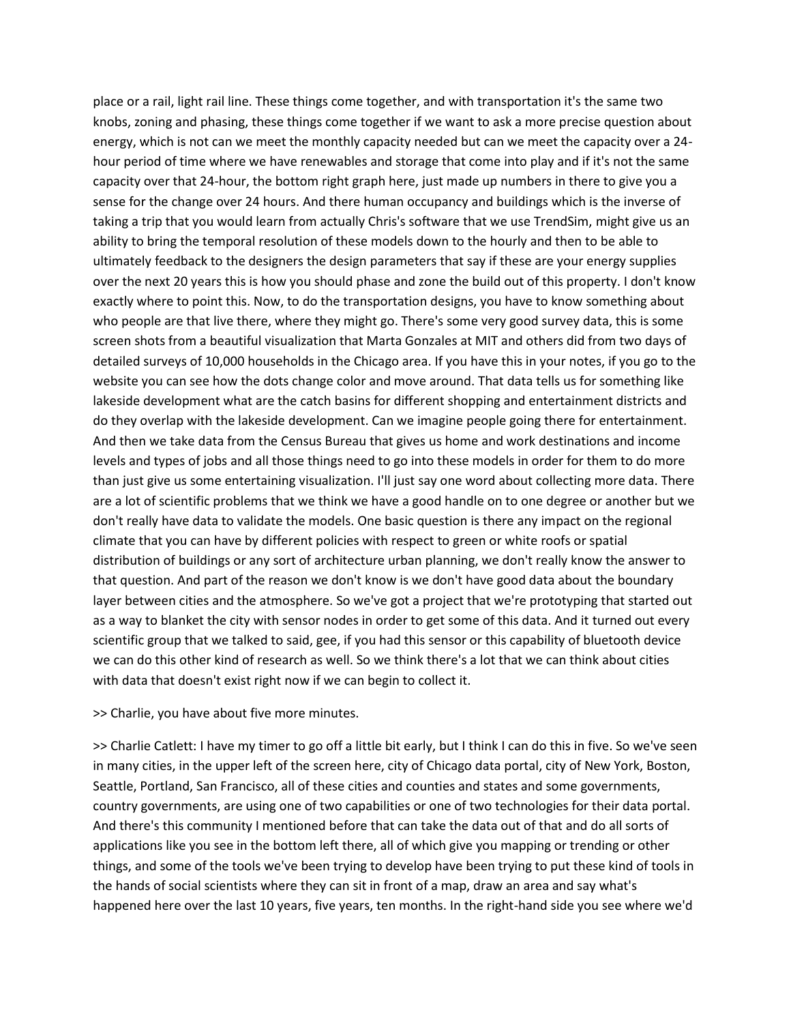place or a rail, light rail line. These things come together, and with transportation it's the same two knobs, zoning and phasing, these things come together if we want to ask a more precise question about energy, which is not can we meet the monthly capacity needed but can we meet the capacity over a 24 hour period of time where we have renewables and storage that come into play and if it's not the same capacity over that 24-hour, the bottom right graph here, just made up numbers in there to give you a sense for the change over 24 hours. And there human occupancy and buildings which is the inverse of taking a trip that you would learn from actually Chris's software that we use TrendSim, might give us an ability to bring the temporal resolution of these models down to the hourly and then to be able to ultimately feedback to the designers the design parameters that say if these are your energy supplies over the next 20 years this is how you should phase and zone the build out of this property. I don't know exactly where to point this. Now, to do the transportation designs, you have to know something about who people are that live there, where they might go. There's some very good survey data, this is some screen shots from a beautiful visualization that Marta Gonzales at MIT and others did from two days of detailed surveys of 10,000 households in the Chicago area. If you have this in your notes, if you go to the website you can see how the dots change color and move around. That data tells us for something like lakeside development what are the catch basins for different shopping and entertainment districts and do they overlap with the lakeside development. Can we imagine people going there for entertainment. And then we take data from the Census Bureau that gives us home and work destinations and income levels and types of jobs and all those things need to go into these models in order for them to do more than just give us some entertaining visualization. I'll just say one word about collecting more data. There are a lot of scientific problems that we think we have a good handle on to one degree or another but we don't really have data to validate the models. One basic question is there any impact on the regional climate that you can have by different policies with respect to green or white roofs or spatial distribution of buildings or any sort of architecture urban planning, we don't really know the answer to that question. And part of the reason we don't know is we don't have good data about the boundary layer between cities and the atmosphere. So we've got a project that we're prototyping that started out as a way to blanket the city with sensor nodes in order to get some of this data. And it turned out every scientific group that we talked to said, gee, if you had this sensor or this capability of bluetooth device we can do this other kind of research as well. So we think there's a lot that we can think about cities with data that doesn't exist right now if we can begin to collect it.

>> Charlie, you have about five more minutes.

>> Charlie Catlett: I have my timer to go off a little bit early, but I think I can do this in five. So we've seen in many cities, in the upper left of the screen here, city of Chicago data portal, city of New York, Boston, Seattle, Portland, San Francisco, all of these cities and counties and states and some governments, country governments, are using one of two capabilities or one of two technologies for their data portal. And there's this community I mentioned before that can take the data out of that and do all sorts of applications like you see in the bottom left there, all of which give you mapping or trending or other things, and some of the tools we've been trying to develop have been trying to put these kind of tools in the hands of social scientists where they can sit in front of a map, draw an area and say what's happened here over the last 10 years, five years, ten months. In the right-hand side you see where we'd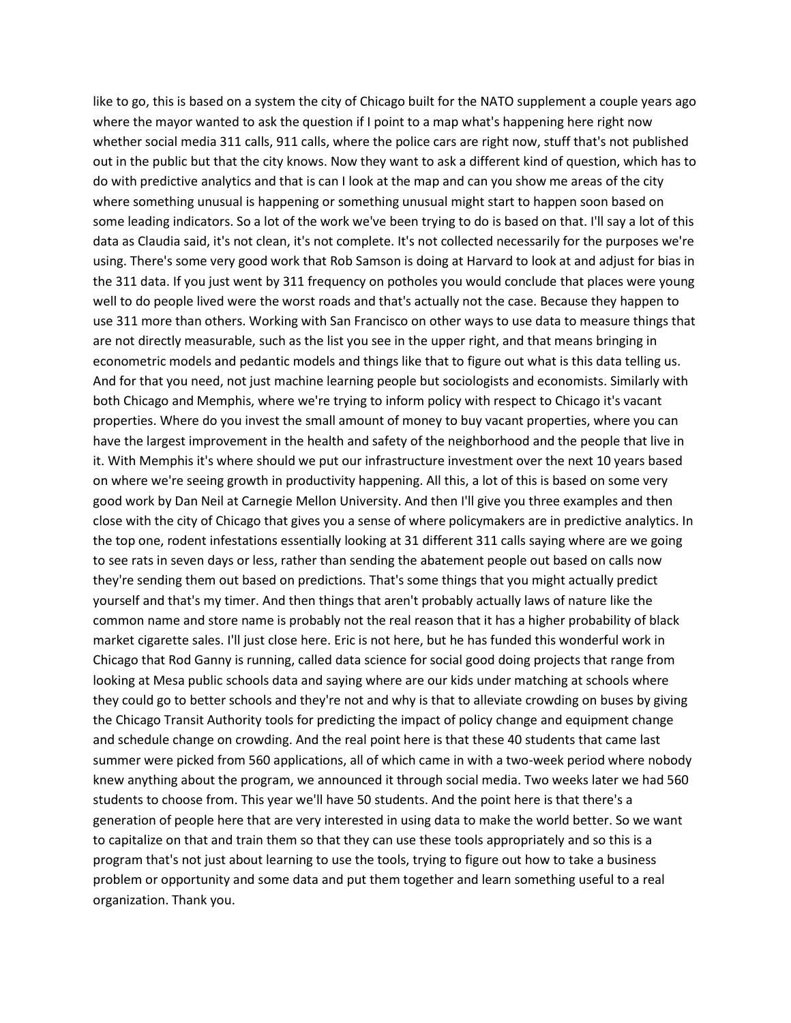like to go, this is based on a system the city of Chicago built for the NATO supplement a couple years ago where the mayor wanted to ask the question if I point to a map what's happening here right now whether social media 311 calls, 911 calls, where the police cars are right now, stuff that's not published out in the public but that the city knows. Now they want to ask a different kind of question, which has to do with predictive analytics and that is can I look at the map and can you show me areas of the city where something unusual is happening or something unusual might start to happen soon based on some leading indicators. So a lot of the work we've been trying to do is based on that. I'll say a lot of this data as Claudia said, it's not clean, it's not complete. It's not collected necessarily for the purposes we're using. There's some very good work that Rob Samson is doing at Harvard to look at and adjust for bias in the 311 data. If you just went by 311 frequency on potholes you would conclude that places were young well to do people lived were the worst roads and that's actually not the case. Because they happen to use 311 more than others. Working with San Francisco on other ways to use data to measure things that are not directly measurable, such as the list you see in the upper right, and that means bringing in econometric models and pedantic models and things like that to figure out what is this data telling us. And for that you need, not just machine learning people but sociologists and economists. Similarly with both Chicago and Memphis, where we're trying to inform policy with respect to Chicago it's vacant properties. Where do you invest the small amount of money to buy vacant properties, where you can have the largest improvement in the health and safety of the neighborhood and the people that live in it. With Memphis it's where should we put our infrastructure investment over the next 10 years based on where we're seeing growth in productivity happening. All this, a lot of this is based on some very good work by Dan Neil at Carnegie Mellon University. And then I'll give you three examples and then close with the city of Chicago that gives you a sense of where policymakers are in predictive analytics. In the top one, rodent infestations essentially looking at 31 different 311 calls saying where are we going to see rats in seven days or less, rather than sending the abatement people out based on calls now they're sending them out based on predictions. That's some things that you might actually predict yourself and that's my timer. And then things that aren't probably actually laws of nature like the common name and store name is probably not the real reason that it has a higher probability of black market cigarette sales. I'll just close here. Eric is not here, but he has funded this wonderful work in Chicago that Rod Ganny is running, called data science for social good doing projects that range from looking at Mesa public schools data and saying where are our kids under matching at schools where they could go to better schools and they're not and why is that to alleviate crowding on buses by giving the Chicago Transit Authority tools for predicting the impact of policy change and equipment change and schedule change on crowding. And the real point here is that these 40 students that came last summer were picked from 560 applications, all of which came in with a two-week period where nobody knew anything about the program, we announced it through social media. Two weeks later we had 560 students to choose from. This year we'll have 50 students. And the point here is that there's a generation of people here that are very interested in using data to make the world better. So we want to capitalize on that and train them so that they can use these tools appropriately and so this is a program that's not just about learning to use the tools, trying to figure out how to take a business problem or opportunity and some data and put them together and learn something useful to a real organization. Thank you.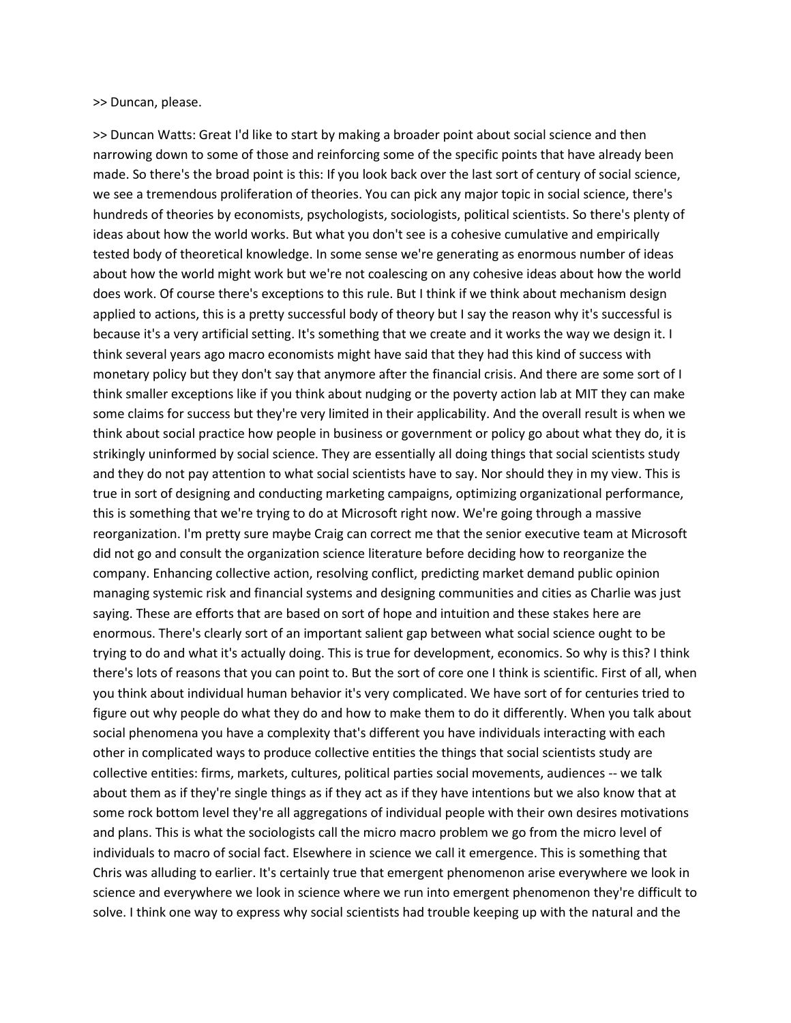>> Duncan, please.

>> Duncan Watts: Great I'd like to start by making a broader point about social science and then narrowing down to some of those and reinforcing some of the specific points that have already been made. So there's the broad point is this: If you look back over the last sort of century of social science, we see a tremendous proliferation of theories. You can pick any major topic in social science, there's hundreds of theories by economists, psychologists, sociologists, political scientists. So there's plenty of ideas about how the world works. But what you don't see is a cohesive cumulative and empirically tested body of theoretical knowledge. In some sense we're generating as enormous number of ideas about how the world might work but we're not coalescing on any cohesive ideas about how the world does work. Of course there's exceptions to this rule. But I think if we think about mechanism design applied to actions, this is a pretty successful body of theory but I say the reason why it's successful is because it's a very artificial setting. It's something that we create and it works the way we design it. I think several years ago macro economists might have said that they had this kind of success with monetary policy but they don't say that anymore after the financial crisis. And there are some sort of I think smaller exceptions like if you think about nudging or the poverty action lab at MIT they can make some claims for success but they're very limited in their applicability. And the overall result is when we think about social practice how people in business or government or policy go about what they do, it is strikingly uninformed by social science. They are essentially all doing things that social scientists study and they do not pay attention to what social scientists have to say. Nor should they in my view. This is true in sort of designing and conducting marketing campaigns, optimizing organizational performance, this is something that we're trying to do at Microsoft right now. We're going through a massive reorganization. I'm pretty sure maybe Craig can correct me that the senior executive team at Microsoft did not go and consult the organization science literature before deciding how to reorganize the company. Enhancing collective action, resolving conflict, predicting market demand public opinion managing systemic risk and financial systems and designing communities and cities as Charlie was just saying. These are efforts that are based on sort of hope and intuition and these stakes here are enormous. There's clearly sort of an important salient gap between what social science ought to be trying to do and what it's actually doing. This is true for development, economics. So why is this? I think there's lots of reasons that you can point to. But the sort of core one I think is scientific. First of all, when you think about individual human behavior it's very complicated. We have sort of for centuries tried to figure out why people do what they do and how to make them to do it differently. When you talk about social phenomena you have a complexity that's different you have individuals interacting with each other in complicated ways to produce collective entities the things that social scientists study are collective entities: firms, markets, cultures, political parties social movements, audiences -- we talk about them as if they're single things as if they act as if they have intentions but we also know that at some rock bottom level they're all aggregations of individual people with their own desires motivations and plans. This is what the sociologists call the micro macro problem we go from the micro level of individuals to macro of social fact. Elsewhere in science we call it emergence. This is something that Chris was alluding to earlier. It's certainly true that emergent phenomenon arise everywhere we look in science and everywhere we look in science where we run into emergent phenomenon they're difficult to solve. I think one way to express why social scientists had trouble keeping up with the natural and the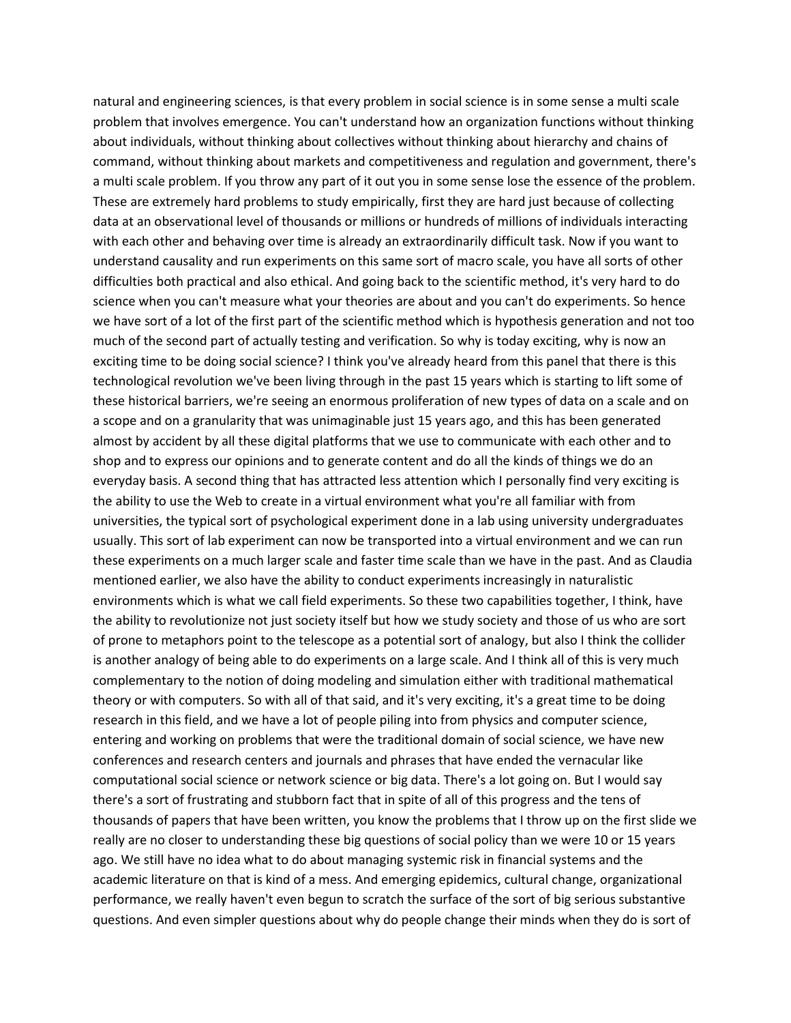natural and engineering sciences, is that every problem in social science is in some sense a multi scale problem that involves emergence. You can't understand how an organization functions without thinking about individuals, without thinking about collectives without thinking about hierarchy and chains of command, without thinking about markets and competitiveness and regulation and government, there's a multi scale problem. If you throw any part of it out you in some sense lose the essence of the problem. These are extremely hard problems to study empirically, first they are hard just because of collecting data at an observational level of thousands or millions or hundreds of millions of individuals interacting with each other and behaving over time is already an extraordinarily difficult task. Now if you want to understand causality and run experiments on this same sort of macro scale, you have all sorts of other difficulties both practical and also ethical. And going back to the scientific method, it's very hard to do science when you can't measure what your theories are about and you can't do experiments. So hence we have sort of a lot of the first part of the scientific method which is hypothesis generation and not too much of the second part of actually testing and verification. So why is today exciting, why is now an exciting time to be doing social science? I think you've already heard from this panel that there is this technological revolution we've been living through in the past 15 years which is starting to lift some of these historical barriers, we're seeing an enormous proliferation of new types of data on a scale and on a scope and on a granularity that was unimaginable just 15 years ago, and this has been generated almost by accident by all these digital platforms that we use to communicate with each other and to shop and to express our opinions and to generate content and do all the kinds of things we do an everyday basis. A second thing that has attracted less attention which I personally find very exciting is the ability to use the Web to create in a virtual environment what you're all familiar with from universities, the typical sort of psychological experiment done in a lab using university undergraduates usually. This sort of lab experiment can now be transported into a virtual environment and we can run these experiments on a much larger scale and faster time scale than we have in the past. And as Claudia mentioned earlier, we also have the ability to conduct experiments increasingly in naturalistic environments which is what we call field experiments. So these two capabilities together, I think, have the ability to revolutionize not just society itself but how we study society and those of us who are sort of prone to metaphors point to the telescope as a potential sort of analogy, but also I think the collider is another analogy of being able to do experiments on a large scale. And I think all of this is very much complementary to the notion of doing modeling and simulation either with traditional mathematical theory or with computers. So with all of that said, and it's very exciting, it's a great time to be doing research in this field, and we have a lot of people piling into from physics and computer science, entering and working on problems that were the traditional domain of social science, we have new conferences and research centers and journals and phrases that have ended the vernacular like computational social science or network science or big data. There's a lot going on. But I would say there's a sort of frustrating and stubborn fact that in spite of all of this progress and the tens of thousands of papers that have been written, you know the problems that I throw up on the first slide we really are no closer to understanding these big questions of social policy than we were 10 or 15 years ago. We still have no idea what to do about managing systemic risk in financial systems and the academic literature on that is kind of a mess. And emerging epidemics, cultural change, organizational performance, we really haven't even begun to scratch the surface of the sort of big serious substantive questions. And even simpler questions about why do people change their minds when they do is sort of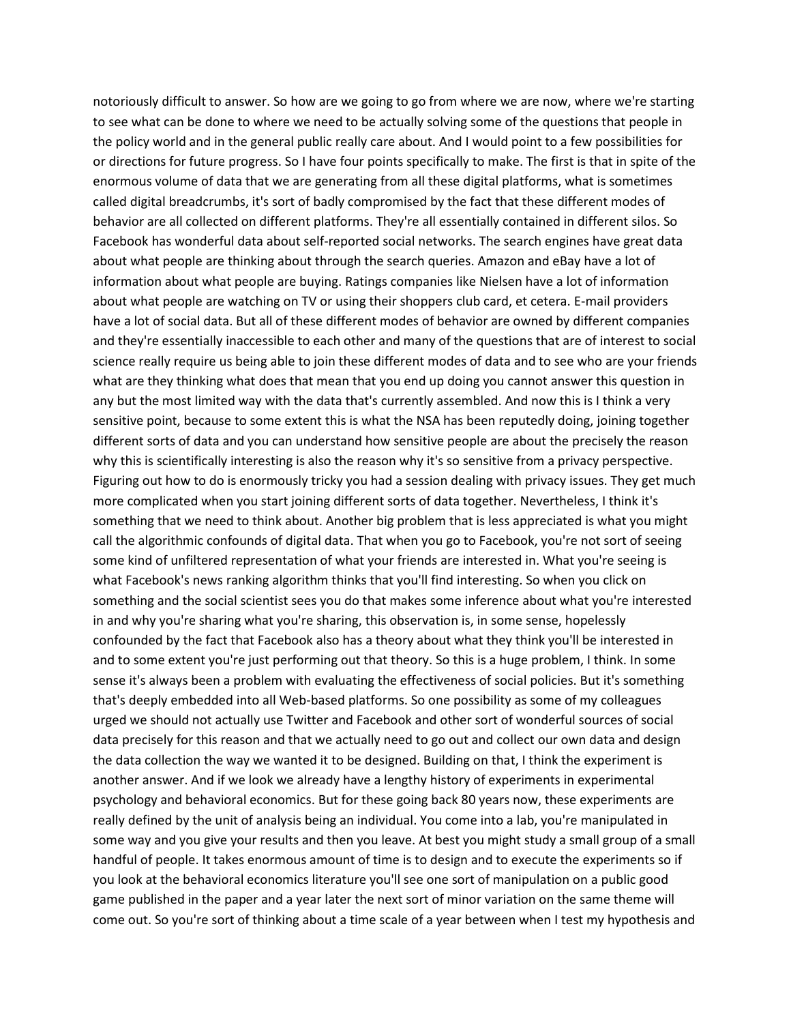notoriously difficult to answer. So how are we going to go from where we are now, where we're starting to see what can be done to where we need to be actually solving some of the questions that people in the policy world and in the general public really care about. And I would point to a few possibilities for or directions for future progress. So I have four points specifically to make. The first is that in spite of the enormous volume of data that we are generating from all these digital platforms, what is sometimes called digital breadcrumbs, it's sort of badly compromised by the fact that these different modes of behavior are all collected on different platforms. They're all essentially contained in different silos. So Facebook has wonderful data about self-reported social networks. The search engines have great data about what people are thinking about through the search queries. Amazon and eBay have a lot of information about what people are buying. Ratings companies like Nielsen have a lot of information about what people are watching on TV or using their shoppers club card, et cetera. E-mail providers have a lot of social data. But all of these different modes of behavior are owned by different companies and they're essentially inaccessible to each other and many of the questions that are of interest to social science really require us being able to join these different modes of data and to see who are your friends what are they thinking what does that mean that you end up doing you cannot answer this question in any but the most limited way with the data that's currently assembled. And now this is I think a very sensitive point, because to some extent this is what the NSA has been reputedly doing, joining together different sorts of data and you can understand how sensitive people are about the precisely the reason why this is scientifically interesting is also the reason why it's so sensitive from a privacy perspective. Figuring out how to do is enormously tricky you had a session dealing with privacy issues. They get much more complicated when you start joining different sorts of data together. Nevertheless, I think it's something that we need to think about. Another big problem that is less appreciated is what you might call the algorithmic confounds of digital data. That when you go to Facebook, you're not sort of seeing some kind of unfiltered representation of what your friends are interested in. What you're seeing is what Facebook's news ranking algorithm thinks that you'll find interesting. So when you click on something and the social scientist sees you do that makes some inference about what you're interested in and why you're sharing what you're sharing, this observation is, in some sense, hopelessly confounded by the fact that Facebook also has a theory about what they think you'll be interested in and to some extent you're just performing out that theory. So this is a huge problem, I think. In some sense it's always been a problem with evaluating the effectiveness of social policies. But it's something that's deeply embedded into all Web-based platforms. So one possibility as some of my colleagues urged we should not actually use Twitter and Facebook and other sort of wonderful sources of social data precisely for this reason and that we actually need to go out and collect our own data and design the data collection the way we wanted it to be designed. Building on that, I think the experiment is another answer. And if we look we already have a lengthy history of experiments in experimental psychology and behavioral economics. But for these going back 80 years now, these experiments are really defined by the unit of analysis being an individual. You come into a lab, you're manipulated in some way and you give your results and then you leave. At best you might study a small group of a small handful of people. It takes enormous amount of time is to design and to execute the experiments so if you look at the behavioral economics literature you'll see one sort of manipulation on a public good game published in the paper and a year later the next sort of minor variation on the same theme will come out. So you're sort of thinking about a time scale of a year between when I test my hypothesis and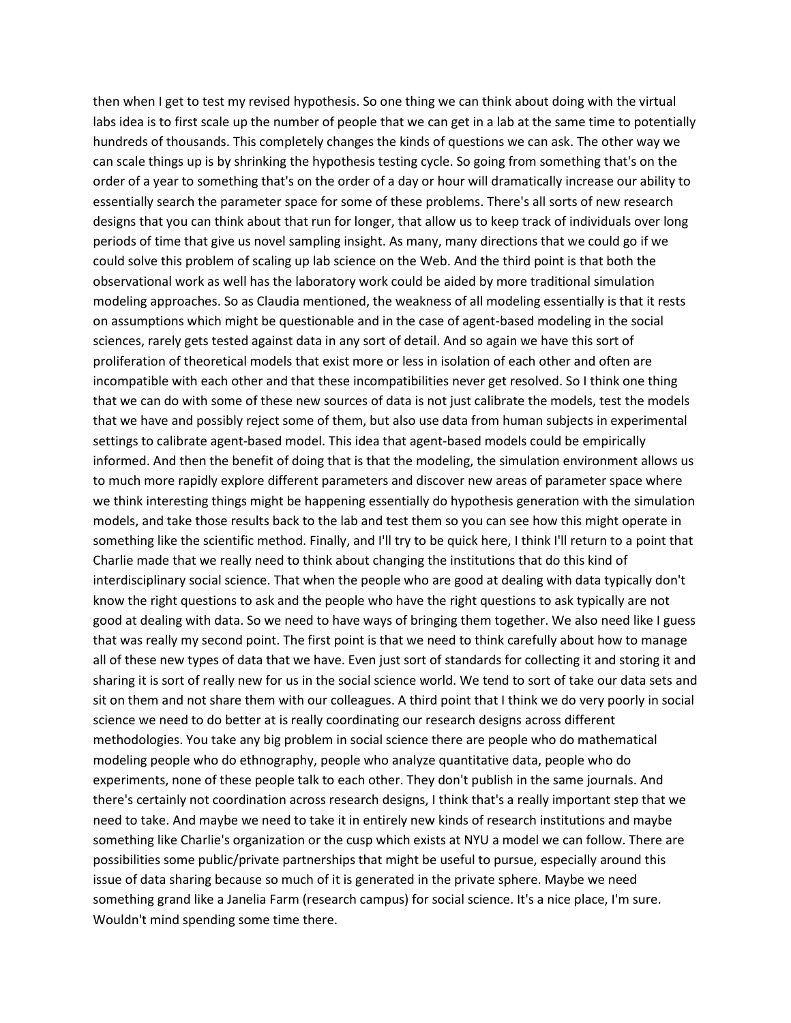then when I get to test my revised hypothesis. So one thing we can think about doing with the virtual labs idea is to first scale up the number of people that we can get in a lab at the same time to potentially hundreds of thousands. This completely changes the kinds of questions we can ask. The other way we can scale things up is by shrinking the hypothesis testing cycle. So going from something that's on the order of a year to something that's on the order of a day or hour will dramatically increase our ability to essentially search the parameter space for some of these problems. There's all sorts of new research designs that you can think about that run for longer, that allow us to keep track of individuals over long periods of time that give us novel sampling insight. As many, many directions that we could go if we could solve this problem of scaling up lab science on the Web. And the third point is that both the observational work as well has the laboratory work could be aided by more traditional simulation modeling approaches. So as Claudia mentioned, the weakness of all modeling essentially is that it rests on assumptions which might be questionable and in the case of agent-based modeling in the social sciences, rarely gets tested against data in any sort of detail. And so again we have this sort of proliferation of theoretical models that exist more or less in isolation of each other and often are incompatible with each other and that these incompatibilities never get resolved. So I think one thing that we can do with some of these new sources of data is not just calibrate the models, test the models that we have and possibly reject some of them, but also use data from human subjects in experimental settings to calibrate agent-based model. This idea that agent-based models could be empirically informed. And then the benefit of doing that is that the modeling, the simulation environment allows us to much more rapidly explore different parameters and discover new areas of parameter space where we think interesting things might be happening essentially do hypothesis generation with the simulation models, and take those results back to the lab and test them so you can see how this might operate in something like the scientific method. Finally, and I'll try to be quick here, I think I'll return to a point that Charlie made that we really need to think about changing the institutions that do this kind of interdisciplinary social science. That when the people who are good at dealing with data typically don't know the right questions to ask and the people who have the right questions to ask typically are not good at dealing with data. So we need to have ways of bringing them together. We also need like I guess that was really my second point. The first point is that we need to think carefully about how to manage all of these new types of data that we have. Even just sort of standards for collecting it and storing it and sharing it is sort of really new for us in the social science world. We tend to sort of take our data sets and sit on them and not share them with our colleagues. A third point that I think we do very poorly in social science we need to do better at is really coordinating our research designs across different methodologies. You take any big problem in social science there are people who do mathematical modeling people who do ethnography, people who analyze quantitative data, people who do experiments, none of these people talk to each other. They don't publish in the same journals. And there's certainly not coordination across research designs, I think that's a really important step that we need to take. And maybe we need to take it in entirely new kinds of research institutions and maybe something like Charlie's organization or the cusp which exists at NYU a model we can follow. There are possibilities some public/private partnerships that might be useful to pursue, especially around this issue of data sharing because so much of it is generated in the private sphere. Maybe we need something grand like a Janelia Farm (research campus) for social science. It's a nice place, I'm sure. Wouldn't mind spending some time there.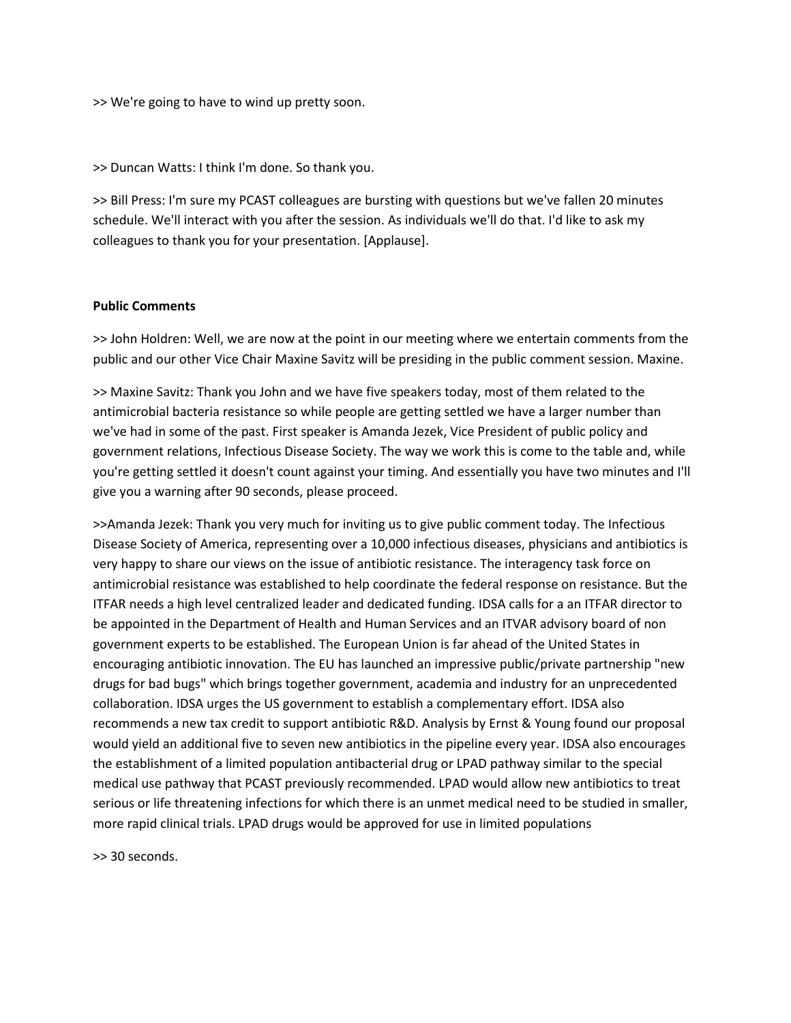>> We're going to have to wind up pretty soon.

>> Duncan Watts: I think I'm done. So thank you.

>> Bill Press: I'm sure my PCAST colleagues are bursting with questions but we've fallen 20 minutes schedule. We'll interact with you after the session. As individuals we'll do that. I'd like to ask my colleagues to thank you for your presentation. [Applause].

## **Public Comments**

>> John Holdren: Well, we are now at the point in our meeting where we entertain comments from the public and our other Vice Chair Maxine Savitz will be presiding in the public comment session. Maxine.

>> Maxine Savitz: Thank you John and we have five speakers today, most of them related to the antimicrobial bacteria resistance so while people are getting settled we have a larger number than we've had in some of the past. First speaker is Amanda Jezek, Vice President of public policy and government relations, Infectious Disease Society. The way we work this is come to the table and, while you're getting settled it doesn't count against your timing. And essentially you have two minutes and I'll give you a warning after 90 seconds, please proceed.

>>Amanda Jezek: Thank you very much for inviting us to give public comment today. The Infectious Disease Society of America, representing over a 10,000 infectious diseases, physicians and antibiotics is very happy to share our views on the issue of antibiotic resistance. The interagency task force on antimicrobial resistance was established to help coordinate the federal response on resistance. But the ITFAR needs a high level centralized leader and dedicated funding. IDSA calls for a an ITFAR director to be appointed in the Department of Health and Human Services and an ITVAR advisory board of non government experts to be established. The European Union is far ahead of the United States in encouraging antibiotic innovation. The EU has launched an impressive public/private partnership "new drugs for bad bugs" which brings together government, academia and industry for an unprecedented collaboration. IDSA urges the US government to establish a complementary effort. IDSA also recommends a new tax credit to support antibiotic R&D. Analysis by Ernst & Young found our proposal would yield an additional five to seven new antibiotics in the pipeline every year. IDSA also encourages the establishment of a limited population antibacterial drug or LPAD pathway similar to the special medical use pathway that PCAST previously recommended. LPAD would allow new antibiotics to treat serious or life threatening infections for which there is an unmet medical need to be studied in smaller, more rapid clinical trials. LPAD drugs would be approved for use in limited populations

>> 30 seconds.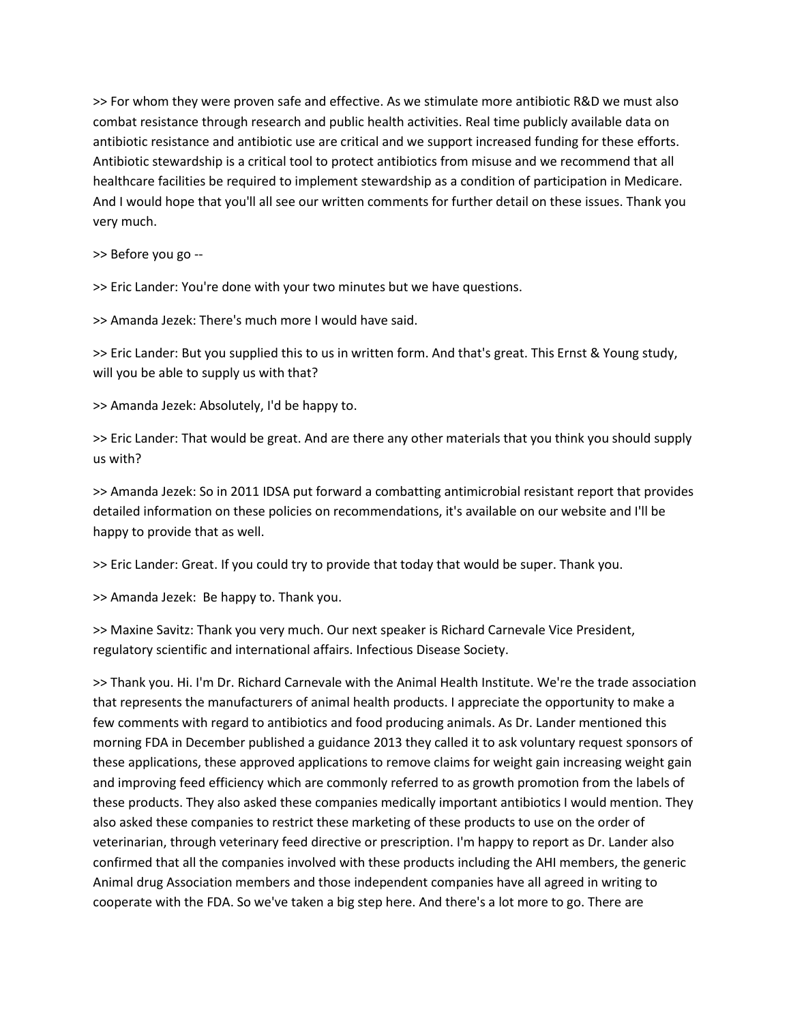>> For whom they were proven safe and effective. As we stimulate more antibiotic R&D we must also combat resistance through research and public health activities. Real time publicly available data on antibiotic resistance and antibiotic use are critical and we support increased funding for these efforts. Antibiotic stewardship is a critical tool to protect antibiotics from misuse and we recommend that all healthcare facilities be required to implement stewardship as a condition of participation in Medicare. And I would hope that you'll all see our written comments for further detail on these issues. Thank you very much.

>> Before you go --

>> Eric Lander: You're done with your two minutes but we have questions.

>> Amanda Jezek: There's much more I would have said.

>> Eric Lander: But you supplied this to us in written form. And that's great. This Ernst & Young study, will you be able to supply us with that?

>> Amanda Jezek: Absolutely, I'd be happy to.

>> Eric Lander: That would be great. And are there any other materials that you think you should supply us with?

>> Amanda Jezek: So in 2011 IDSA put forward a combatting antimicrobial resistant report that provides detailed information on these policies on recommendations, it's available on our website and I'll be happy to provide that as well.

>> Eric Lander: Great. If you could try to provide that today that would be super. Thank you.

>> Amanda Jezek: Be happy to. Thank you.

>> Maxine Savitz: Thank you very much. Our next speaker is Richard Carnevale Vice President, regulatory scientific and international affairs. Infectious Disease Society.

>> Thank you. Hi. I'm Dr. Richard Carnevale with the Animal Health Institute. We're the trade association that represents the manufacturers of animal health products. I appreciate the opportunity to make a few comments with regard to antibiotics and food producing animals. As Dr. Lander mentioned this morning FDA in December published a guidance 2013 they called it to ask voluntary request sponsors of these applications, these approved applications to remove claims for weight gain increasing weight gain and improving feed efficiency which are commonly referred to as growth promotion from the labels of these products. They also asked these companies medically important antibiotics I would mention. They also asked these companies to restrict these marketing of these products to use on the order of veterinarian, through veterinary feed directive or prescription. I'm happy to report as Dr. Lander also confirmed that all the companies involved with these products including the AHI members, the generic Animal drug Association members and those independent companies have all agreed in writing to cooperate with the FDA. So we've taken a big step here. And there's a lot more to go. There are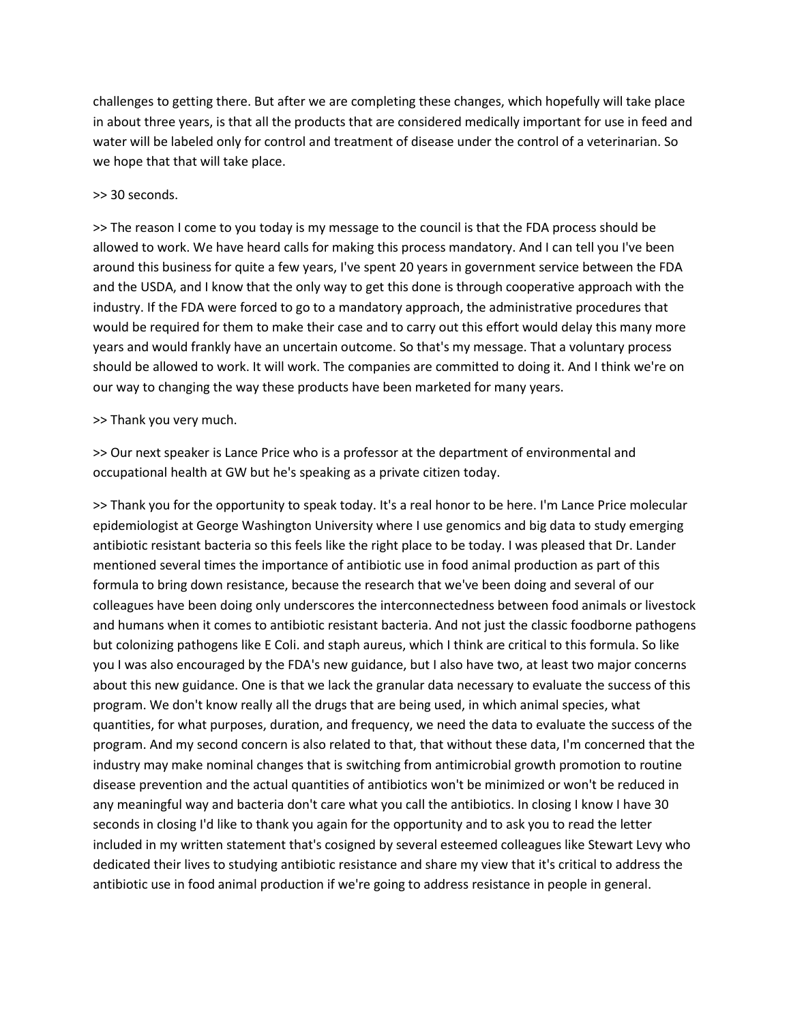challenges to getting there. But after we are completing these changes, which hopefully will take place in about three years, is that all the products that are considered medically important for use in feed and water will be labeled only for control and treatment of disease under the control of a veterinarian. So we hope that that will take place.

## >> 30 seconds.

>> The reason I come to you today is my message to the council is that the FDA process should be allowed to work. We have heard calls for making this process mandatory. And I can tell you I've been around this business for quite a few years, I've spent 20 years in government service between the FDA and the USDA, and I know that the only way to get this done is through cooperative approach with the industry. If the FDA were forced to go to a mandatory approach, the administrative procedures that would be required for them to make their case and to carry out this effort would delay this many more years and would frankly have an uncertain outcome. So that's my message. That a voluntary process should be allowed to work. It will work. The companies are committed to doing it. And I think we're on our way to changing the way these products have been marketed for many years.

# >> Thank you very much.

>> Our next speaker is Lance Price who is a professor at the department of environmental and occupational health at GW but he's speaking as a private citizen today.

>> Thank you for the opportunity to speak today. It's a real honor to be here. I'm Lance Price molecular epidemiologist at George Washington University where I use genomics and big data to study emerging antibiotic resistant bacteria so this feels like the right place to be today. I was pleased that Dr. Lander mentioned several times the importance of antibiotic use in food animal production as part of this formula to bring down resistance, because the research that we've been doing and several of our colleagues have been doing only underscores the interconnectedness between food animals or livestock and humans when it comes to antibiotic resistant bacteria. And not just the classic foodborne pathogens but colonizing pathogens like E Coli. and staph aureus, which I think are critical to this formula. So like you I was also encouraged by the FDA's new guidance, but I also have two, at least two major concerns about this new guidance. One is that we lack the granular data necessary to evaluate the success of this program. We don't know really all the drugs that are being used, in which animal species, what quantities, for what purposes, duration, and frequency, we need the data to evaluate the success of the program. And my second concern is also related to that, that without these data, I'm concerned that the industry may make nominal changes that is switching from antimicrobial growth promotion to routine disease prevention and the actual quantities of antibiotics won't be minimized or won't be reduced in any meaningful way and bacteria don't care what you call the antibiotics. In closing I know I have 30 seconds in closing I'd like to thank you again for the opportunity and to ask you to read the letter included in my written statement that's cosigned by several esteemed colleagues like Stewart Levy who dedicated their lives to studying antibiotic resistance and share my view that it's critical to address the antibiotic use in food animal production if we're going to address resistance in people in general.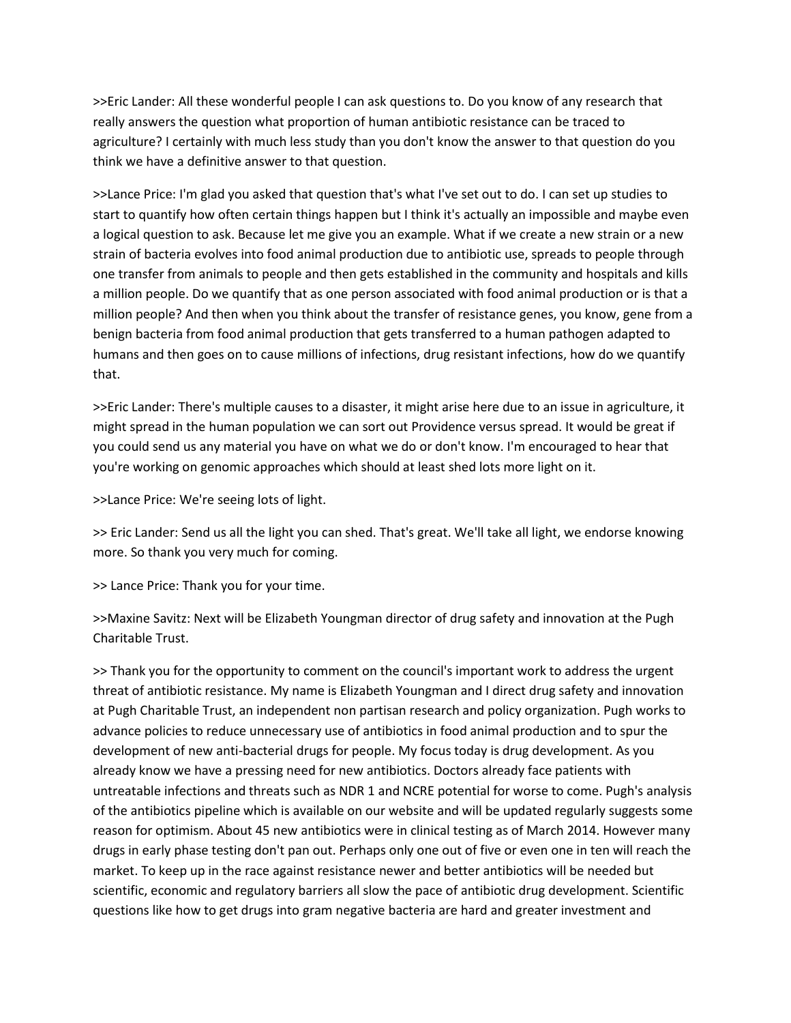>>Eric Lander: All these wonderful people I can ask questions to. Do you know of any research that really answers the question what proportion of human antibiotic resistance can be traced to agriculture? I certainly with much less study than you don't know the answer to that question do you think we have a definitive answer to that question.

>>Lance Price: I'm glad you asked that question that's what I've set out to do. I can set up studies to start to quantify how often certain things happen but I think it's actually an impossible and maybe even a logical question to ask. Because let me give you an example. What if we create a new strain or a new strain of bacteria evolves into food animal production due to antibiotic use, spreads to people through one transfer from animals to people and then gets established in the community and hospitals and kills a million people. Do we quantify that as one person associated with food animal production or is that a million people? And then when you think about the transfer of resistance genes, you know, gene from a benign bacteria from food animal production that gets transferred to a human pathogen adapted to humans and then goes on to cause millions of infections, drug resistant infections, how do we quantify that.

>>Eric Lander: There's multiple causes to a disaster, it might arise here due to an issue in agriculture, it might spread in the human population we can sort out Providence versus spread. It would be great if you could send us any material you have on what we do or don't know. I'm encouraged to hear that you're working on genomic approaches which should at least shed lots more light on it.

>>Lance Price: We're seeing lots of light.

>> Eric Lander: Send us all the light you can shed. That's great. We'll take all light, we endorse knowing more. So thank you very much for coming.

>> Lance Price: Thank you for your time.

>>Maxine Savitz: Next will be Elizabeth Youngman director of drug safety and innovation at the Pugh Charitable Trust.

>> Thank you for the opportunity to comment on the council's important work to address the urgent threat of antibiotic resistance. My name is Elizabeth Youngman and I direct drug safety and innovation at Pugh Charitable Trust, an independent non partisan research and policy organization. Pugh works to advance policies to reduce unnecessary use of antibiotics in food animal production and to spur the development of new anti-bacterial drugs for people. My focus today is drug development. As you already know we have a pressing need for new antibiotics. Doctors already face patients with untreatable infections and threats such as NDR 1 and NCRE potential for worse to come. Pugh's analysis of the antibiotics pipeline which is available on our website and will be updated regularly suggests some reason for optimism. About 45 new antibiotics were in clinical testing as of March 2014. However many drugs in early phase testing don't pan out. Perhaps only one out of five or even one in ten will reach the market. To keep up in the race against resistance newer and better antibiotics will be needed but scientific, economic and regulatory barriers all slow the pace of antibiotic drug development. Scientific questions like how to get drugs into gram negative bacteria are hard and greater investment and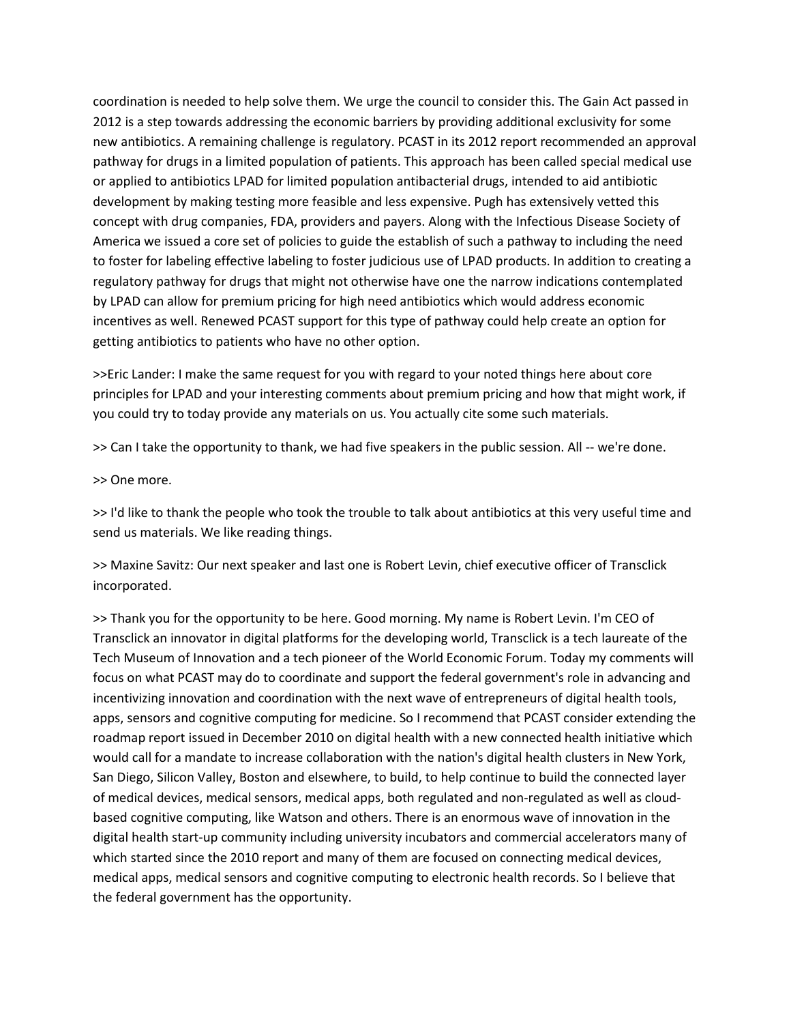coordination is needed to help solve them. We urge the council to consider this. The Gain Act passed in 2012 is a step towards addressing the economic barriers by providing additional exclusivity for some new antibiotics. A remaining challenge is regulatory. PCAST in its 2012 report recommended an approval pathway for drugs in a limited population of patients. This approach has been called special medical use or applied to antibiotics LPAD for limited population antibacterial drugs, intended to aid antibiotic development by making testing more feasible and less expensive. Pugh has extensively vetted this concept with drug companies, FDA, providers and payers. Along with the Infectious Disease Society of America we issued a core set of policies to guide the establish of such a pathway to including the need to foster for labeling effective labeling to foster judicious use of LPAD products. In addition to creating a regulatory pathway for drugs that might not otherwise have one the narrow indications contemplated by LPAD can allow for premium pricing for high need antibiotics which would address economic incentives as well. Renewed PCAST support for this type of pathway could help create an option for getting antibiotics to patients who have no other option.

>>Eric Lander: I make the same request for you with regard to your noted things here about core principles for LPAD and your interesting comments about premium pricing and how that might work, if you could try to today provide any materials on us. You actually cite some such materials.

>> Can I take the opportunity to thank, we had five speakers in the public session. All -- we're done.

>> One more.

>> I'd like to thank the people who took the trouble to talk about antibiotics at this very useful time and send us materials. We like reading things.

>> Maxine Savitz: Our next speaker and last one is Robert Levin, chief executive officer of Transclick incorporated.

>> Thank you for the opportunity to be here. Good morning. My name is Robert Levin. I'm CEO of Transclick an innovator in digital platforms for the developing world, Transclick is a tech laureate of the Tech Museum of Innovation and a tech pioneer of the World Economic Forum. Today my comments will focus on what PCAST may do to coordinate and support the federal government's role in advancing and incentivizing innovation and coordination with the next wave of entrepreneurs of digital health tools, apps, sensors and cognitive computing for medicine. So I recommend that PCAST consider extending the roadmap report issued in December 2010 on digital health with a new connected health initiative which would call for a mandate to increase collaboration with the nation's digital health clusters in New York, San Diego, Silicon Valley, Boston and elsewhere, to build, to help continue to build the connected layer of medical devices, medical sensors, medical apps, both regulated and non-regulated as well as cloudbased cognitive computing, like Watson and others. There is an enormous wave of innovation in the digital health start-up community including university incubators and commercial accelerators many of which started since the 2010 report and many of them are focused on connecting medical devices, medical apps, medical sensors and cognitive computing to electronic health records. So I believe that the federal government has the opportunity.